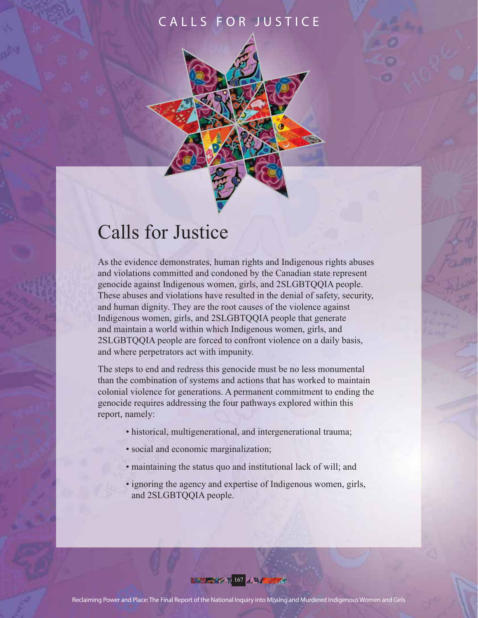# Calls for Justice

As the evidence demonstrates, human rights and Indigenous rights abuses and violations committed and condoned by the Canadian state represent genocide against Indigenous women, girls, and 2SLGBTQQIA people. These abuses and violations have resulted in the denial of safety, security, and human dignity. They are the root causes of the violence against Indigenous women, girls, and 2SLGBTQQIA people that generate and maintain a world within which Indigenous women, girls, and 2SLGBTQQIA people are forced to confront violence on a daily basis, and where perpetrators act with impunity.

The steps to end and redress this genocide must be no less monumental than the combination of systems and actions that has worked to maintain colonial violence for generations. A permanent commitment to ending the genocide requires addressing the four pathways explored within this report, namely:

- historical, multigenerational, and intergenerational trauma;
- social and economic marginalization;
- maintaining the status quo and institutional lack of will; and
- ignoring the agency and expertise of Indigenous women, girls, and 2SLGBTQQIA people.

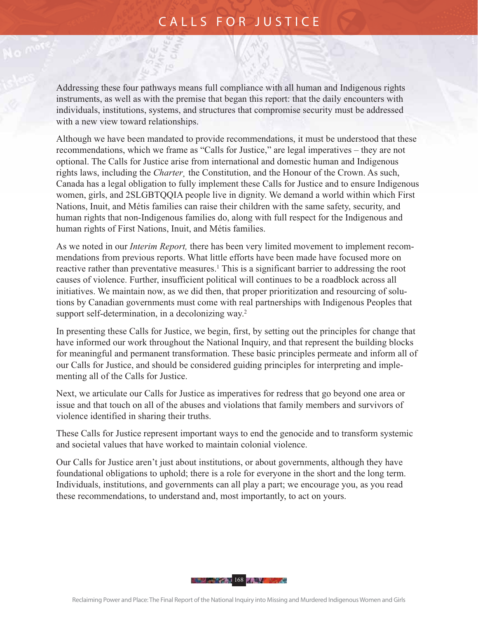Addressing these four pathways means full compliance with all human and Indigenous rights instruments, as well as with the premise that began this report: that the daily encounters with individuals, institutions, systems, and structures that compromise security must be addressed with a new view toward relationships.

Although we have been mandated to provide recommendations, it must be understood that these recommendations, which we frame as "Calls for Justice," are legal imperatives – they are not optional. The Calls for Justice arise from international and domestic human and Indigenous rights laws, including the *Charter¸* the Constitution, and the Honour of the Crown. As such, Canada has a legal obligation to fully implement these Calls for Justice and to ensure Indigenous women, girls, and 2SLGBTQQIA people live in dignity. We demand a world within which First Nations, Inuit, and Métis families can raise their children with the same safety, security, and human rights that non-Indigenous families do, along with full respect for the Indigenous and human rights of First Nations, Inuit, and Métis families.

As we noted in our *Interim Report,* there has been very limited movement to implement recommendations from previous reports. What little efforts have been made have focused more on reactive rather than preventative measures.<sup>1</sup> This is a significant barrier to addressing the root causes of violence. Further, insufficient political will continues to be a roadblock across all initiatives. We maintain now, as we did then, that proper prioritization and resourcing of solutions by Canadian governments must come with real partnerships with Indigenous Peoples that support self-determination, in a decolonizing way.<sup>2</sup>

In presenting these Calls for Justice, we begin, first, by setting out the principles for change that have informed our work throughout the National Inquiry, and that represent the building blocks for meaningful and permanent transformation. These basic principles permeate and inform all of our Calls for Justice, and should be considered guiding principles for interpreting and implementing all of the Calls for Justice.

Next, we articulate our Calls for Justice as imperatives for redress that go beyond one area or issue and that touch on all of the abuses and violations that family members and survivors of violence identified in sharing their truths.

These Calls for Justice represent important ways to end the genocide and to transform systemic and societal values that have worked to maintain colonial violence.

Our Calls for Justice aren't just about institutions, or about governments, although they have foundational obligations to uphold; there is a role for everyone in the short and the long term. Individuals, institutions, and governments can all play a part; we encourage you, as you read these recommendations, to understand and, most importantly, to act on yours.

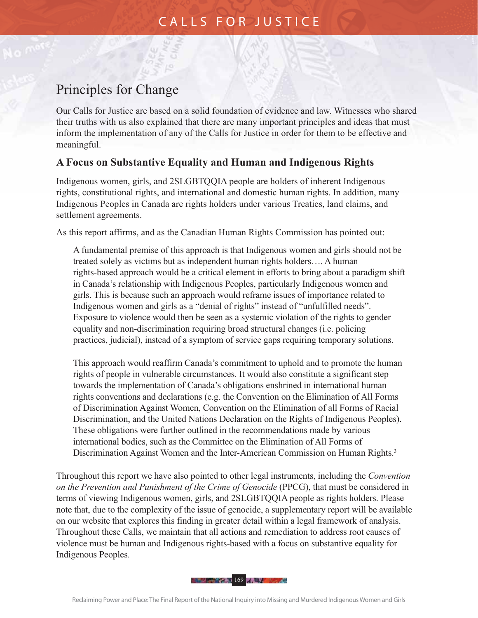# Principles for Change

Our Calls for Justice are based on a solid foundation of evidence and law. Witnesses who shared their truths with us also explained that there are many important principles and ideas that must inform the implementation of any of the Calls for Justice in order for them to be effective and meaningful.

#### **A Focus on Substantive Equality and Human and Indigenous Rights**

Indigenous women, girls, and 2SLGBTQQIA people are holders of inherent Indigenous rights, constitutional rights, and international and domestic human rights. In addition, many Indigenous Peoples in Canada are rights holders under various Treaties, land claims, and settlement agreements.

As this report affirms, and as the Canadian Human Rights Commission has pointed out:

A fundamental premise of this approach is that Indigenous women and girls should not be treated solely as victims but as independent human rights holders…. A human rights-based approach would be a critical element in efforts to bring about a paradigm shift in Canada's relationship with Indigenous Peoples, particularly Indigenous women and girls. This is because such an approach would reframe issues of importance related to Indigenous women and girls as a "denial of rights" instead of "unfulfilled needs". Exposure to violence would then be seen as a systemic violation of the rights to gender equality and non-discrimination requiring broad structural changes (i.e. policing practices, judicial), instead of a symptom of service gaps requiring temporary solutions.

This approach would reaffirm Canada's commitment to uphold and to promote the human rights of people in vulnerable circumstances. It would also constitute a significant step towards the implementation of Canada's obligations enshrined in international human rights conventions and declarations (e.g. the Convention on the Elimination of All Forms of Discrimination Against Women, Convention on the Elimination of all Forms of Racial Discrimination, and the United Nations Declaration on the Rights of Indigenous Peoples). These obligations were further outlined in the recommendations made by various international bodies, such as the Committee on the Elimination of All Forms of Discrimination Against Women and the Inter-American Commission on Human Rights.<sup>3</sup>

Throughout this report we have also pointed to other legal instruments, including the *Convention on the Prevention and Punishment of the Crime of Genocide* (PPCG), that must be considered in terms of viewing Indigenous women, girls, and 2SLGBTQQIA people as rights holders. Please note that, due to the complexity of the issue of genocide, a supplementary report will be available on our website that explores this finding in greater detail within a legal framework of analysis. Throughout these Calls, we maintain that all actions and remediation to address root causes of violence must be human and Indigenous rights-based with a focus on substantive equality for Indigenous Peoples.

169 - Paul 169 - Paul 169 - Paul 169 - Paul 169 - Paul 169 - Paul 169 - Paul 169 - Paul 169 - Paul 169 - Paul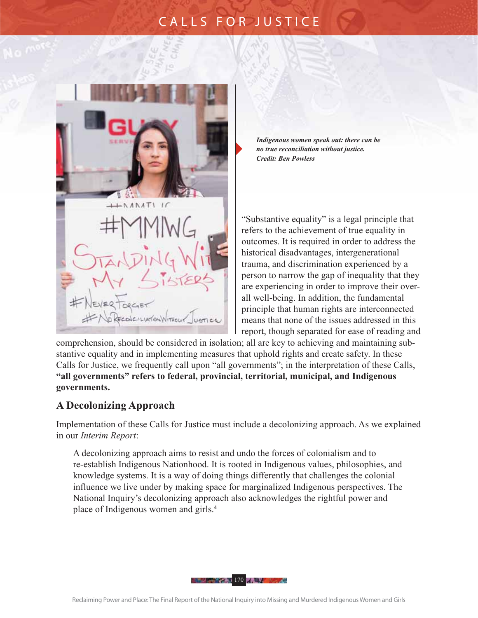

*Indigenous women speak out: there can be no true reconciliation without justice. Credit: Ben Powless* 

"Substantive equality" is a legal principle that refers to the achievement of true equality in outcomes. It is required in order to address the historical disadvantages, intergenerational trauma, and discrimination experienced by a person to narrow the gap of inequality that they are experiencing in order to improve their overall well-being. In addition, the fundamental principle that human rights are interconnected means that none of the issues addressed in this report, though separated for ease of reading and

comprehension, should be considered in isolation; all are key to achieving and maintaining substantive equality and in implementing measures that uphold rights and create safety. In these Calls for Justice, we frequently call upon "all governments"; in the interpretation of these Calls, **"all governments" refers to federal, provincial, territorial, municipal, and Indigenous governments.** 

#### **A Decolonizing Approach**

Implementation of these Calls for Justice must include a decolonizing approach. As we explained in our *Interim Report*:

A decolonizing approach aims to resist and undo the forces of colonialism and to re-establish Indigenous Nationhood. It is rooted in Indigenous values, philosophies, and knowledge systems. It is a way of doing things differently that challenges the colonial influence we live under by making space for marginalized Indigenous perspectives. The National Inquiry's decolonizing approach also acknowledges the rightful power and place of Indigenous women and girls.4

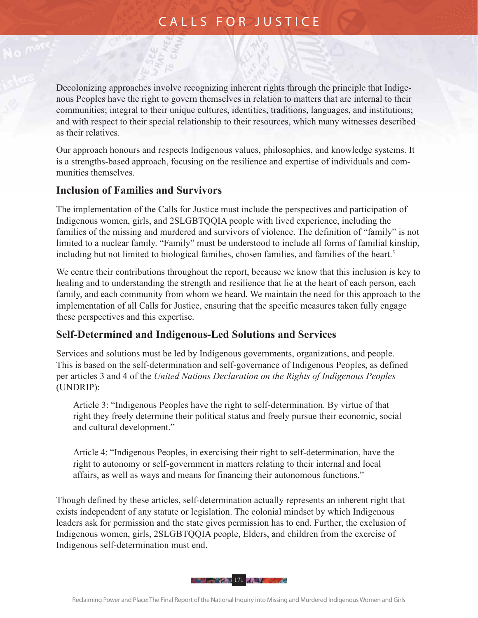Decolonizing approaches involve recognizing inherent rights through the principle that Indigenous Peoples have the right to govern themselves in relation to matters that are internal to their communities; integral to their unique cultures, identities, traditions, languages, and institutions; and with respect to their special relationship to their resources, which many witnesses described as their relatives.

Our approach honours and respects Indigenous values, philosophies, and knowledge systems. It is a strengths-based approach, focusing on the resilience and expertise of individuals and communities themselves.

#### **Inclusion of Families and Survivors**

The implementation of the Calls for Justice must include the perspectives and participation of Indigenous women, girls, and 2SLGBTQQIA people with lived experience, including the families of the missing and murdered and survivors of violence. The definition of "family" is not limited to a nuclear family. "Family" must be understood to include all forms of familial kinship, including but not limited to biological families, chosen families, and families of the heart.<sup>5</sup>

We centre their contributions throughout the report, because we know that this inclusion is key to healing and to understanding the strength and resilience that lie at the heart of each person, each family, and each community from whom we heard. We maintain the need for this approach to the implementation of all Calls for Justice, ensuring that the specific measures taken fully engage these perspectives and this expertise.

#### **Self-Determined and Indigenous-Led Solutions and Services**

Services and solutions must be led by Indigenous governments, organizations, and people. This is based on the self-determination and self-governance of Indigenous Peoples, as defined per articles 3 and 4 of the *United Nations Declaration on the Rights of Indigenous Peoples* (UNDRIP):

Article 3: "Indigenous Peoples have the right to self-determination. By virtue of that right they freely determine their political status and freely pursue their economic, social and cultural development."

Article 4: "Indigenous Peoples, in exercising their right to self-determination, have the right to autonomy or self-government in matters relating to their internal and local affairs, as well as ways and means for financing their autonomous functions."

Though defined by these articles, self-determination actually represents an inherent right that exists independent of any statute or legislation. The colonial mindset by which Indigenous leaders ask for permission and the state gives permission has to end. Further, the exclusion of Indigenous women, girls, 2SLGBTQQIA people, Elders, and children from the exercise of Indigenous self-determination must end.

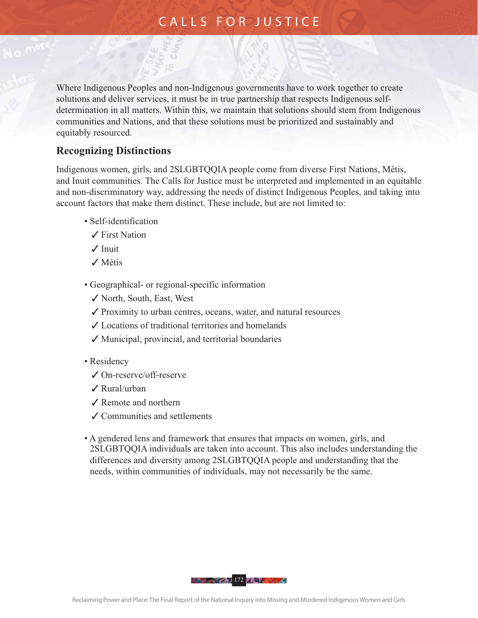Where Indigenous Peoples and non-Indigenous governments have to work together to create solutions and deliver services, it must be in true partnership that respects Indigenous selfdetermination in all matters. Within this, we maintain that solutions should stem from Indigenous communities and Nations, and that these solutions must be prioritized and sustainably and equitably resourced.

#### **Recognizing Distinctions**

Indigenous women, girls, and 2SLGBTQQIA people come from diverse First Nations, Métis, and Inuit communities. The Calls for Justice must be interpreted and implemented in an equitable and non-discriminatory way, addressing the needs of distinct Indigenous Peoples, and taking into account factors that make them distinct. These include, but are not limited to:

- Self-identification
	- $\angle$  First Nation
	- $J$  Inuit
	- $\checkmark$  Métis
- Geographical- or regional-specific information
	- 3 North, South, East, West
	- $\checkmark$  Proximity to urban centres, oceans, water, and natural resources
	- $\checkmark$  Locations of traditional territories and homelands
	- $\checkmark$  Municipal, provincial, and territorial boundaries
- Residency
	- 3 On-reserve/off-reserve
	- $\angle$  Rural/urban
	- $\angle$  Remote and northern
	- $\checkmark$  Communities and settlements
- A gendered lens and framework that ensures that impacts on women, girls, and 2SLGBTQQIA individuals are taken into account. This also includes understanding the differences and diversity among 2SLGBTQQIA people and understanding that the needs, within communities of individuals, may not necessarily be the same.

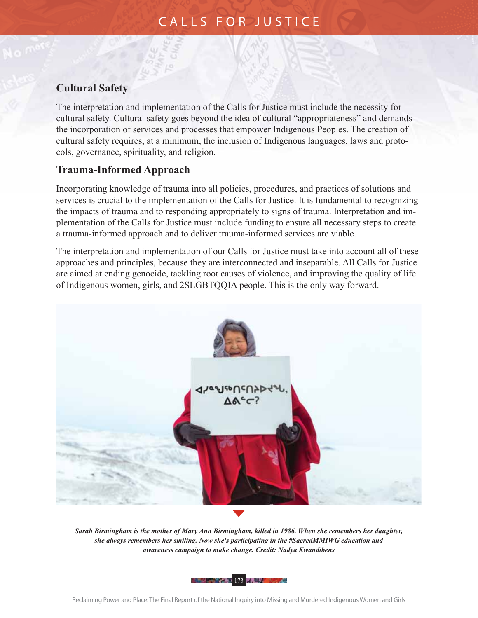#### **Cultural Safety**

The interpretation and implementation of the Calls for Justice must include the necessity for cultural safety. Cultural safety goes beyond the idea of cultural "appropriateness" and demands the incorporation of services and processes that empower Indigenous Peoples. The creation of cultural safety requires, at a minimum, the inclusion of Indigenous languages, laws and protocols, governance, spirituality, and religion.

#### **Trauma-Informed Approach**

Incorporating knowledge of trauma into all policies, procedures, and practices of solutions and services is crucial to the implementation of the Calls for Justice. It is fundamental to recognizing the impacts of trauma and to responding appropriately to signs of trauma. Interpretation and implementation of the Calls for Justice must include funding to ensure all necessary steps to create a trauma-informed approach and to deliver trauma-informed services are viable.

The interpretation and implementation of our Calls for Justice must take into account all of these approaches and principles, because they are interconnected and inseparable. All Calls for Justice are aimed at ending genocide, tackling root causes of violence, and improving the quality of life of Indigenous women, girls, and 2SLGBTQQIA people. This is the only way forward.



*Sarah Birmingham is the mother of Mary Ann Birmingham, killed in 1986. When she remembers her daughter, she always remembers her smiling. Now she's participating in the #SacredMMIWG education and awareness campaign to make change. Credit: Nadya Kwandibens*

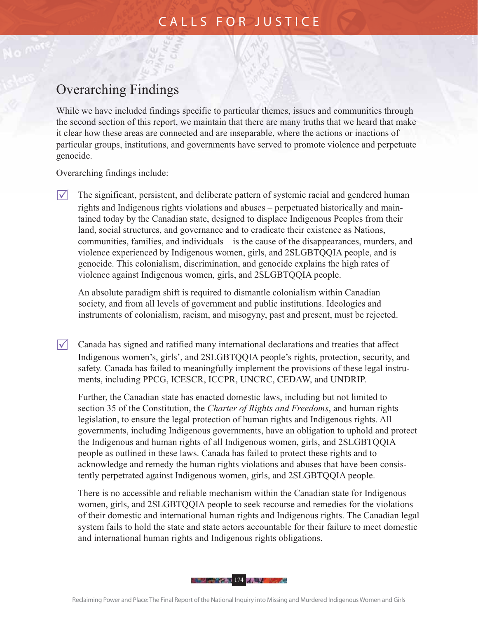### Overarching Findings

While we have included findings specific to particular themes, issues and communities through the second section of this report, we maintain that there are many truths that we heard that make it clear how these areas are connected and are inseparable, where the actions or inactions of particular groups, institutions, and governments have served to promote violence and perpetuate genocide.

Overarching findings include:

 $\nabla$  The significant, persistent, and deliberate pattern of systemic racial and gendered human rights and Indigenous rights violations and abuses – perpetuated historically and maintained today by the Canadian state, designed to displace Indigenous Peoples from their land, social structures, and governance and to eradicate their existence as Nations, communities, families, and individuals – is the cause of the disappearances, murders, and violence experienced by Indigenous women, girls, and 2SLGBTQQIA people, and is genocide. This colonialism, discrimination, and genocide explains the high rates of violence against Indigenous women, girls, and 2SLGBTQQIA people.

 An absolute paradigm shift is required to dismantle colonialism within Canadian society, and from all levels of government and public institutions. Ideologies and instruments of colonialism, racism, and misogyny, past and present, must be rejected.

 $\nabla$  Canada has signed and ratified many international declarations and treaties that affect Indigenous women's, girls', and 2SLGBTQQIA people's rights, protection, security, and safety. Canada has failed to meaningfully implement the provisions of these legal instruments, including PPCG, ICESCR, ICCPR, UNCRC, CEDAW, and UNDRIP.

Further, the Canadian state has enacted domestic laws, including but not limited to section 35 of the Constitution, the *Charter of Rights and Freedoms*, and human rights legislation, to ensure the legal protection of human rights and Indigenous rights. All governments, including Indigenous governments, have an obligation to uphold and protect the Indigenous and human rights of all Indigenous women, girls, and 2SLGBTQQIA people as outlined in these laws. Canada has failed to protect these rights and to acknowledge and remedy the human rights violations and abuses that have been consistently perpetrated against Indigenous women, girls, and 2SLGBTQQIA people.

There is no accessible and reliable mechanism within the Canadian state for Indigenous women, girls, and 2SLGBTQQIA people to seek recourse and remedies for the violations of their domestic and international human rights and Indigenous rights. The Canadian legal system fails to hold the state and state actors accountable for their failure to meet domestic and international human rights and Indigenous rights obligations.

**174 AND 174 AND 174 BEE**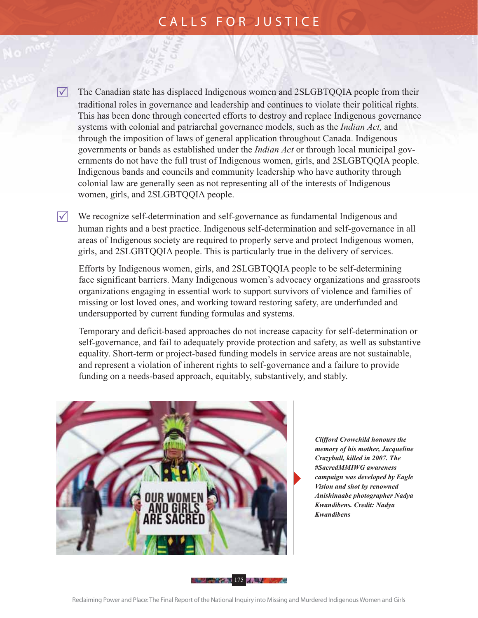$\sqrt{\phantom{a}}$  The Canadian state has displaced Indigenous women and 2SLGBTQQIA people from their traditional roles in governance and leadership and continues to violate their political rights. This has been done through concerted efforts to destroy and replace Indigenous governance systems with colonial and patriarchal governance models, such as the *Indian Act,* and through the imposition of laws of general application throughout Canada. Indigenous governments or bands as established under the *Indian Act* or through local municipal governments do not have the full trust of Indigenous women, girls, and 2SLGBTQQIA people. Indigenous bands and councils and community leadership who have authority through colonial law are generally seen as not representing all of the interests of Indigenous women, girls, and 2SLGBTQQIA people.

 $\nabla$  We recognize self-determination and self-governance as fundamental Indigenous and human rights and a best practice. Indigenous self-determination and self-governance in all areas of Indigenous society are required to properly serve and protect Indigenous women, girls, and 2SLGBTQQIA people. This is particularly true in the delivery of services.

Efforts by Indigenous women, girls, and 2SLGBTQQIA people to be self-determining face significant barriers. Many Indigenous women's advocacy organizations and grassroots organizations engaging in essential work to support survivors of violence and families of missing or lost loved ones, and working toward restoring safety, are underfunded and under supported by current funding formulas and systems.

Temporary and deficit-based approaches do not increase capacity for self-determination or self-governance, and fail to adequately provide protection and safety, as well as substantive equality. Short-term or project-based funding models in service areas are not sustainable, and represent a violation of inherent rights to self-governance and a failure to provide funding on a needs-based approach, equitably, substantively, and stably.



 *Clifford Crowchild honours the memory of his mother, Jacqueline Crazybull, killed in 2007. The #SacredMMIWG awareness campaign was developed by Eagle Vision and shot by renowned Anishinaabe photographer Nadya Kwandibens. Credit: Nadya Kwandibens*

175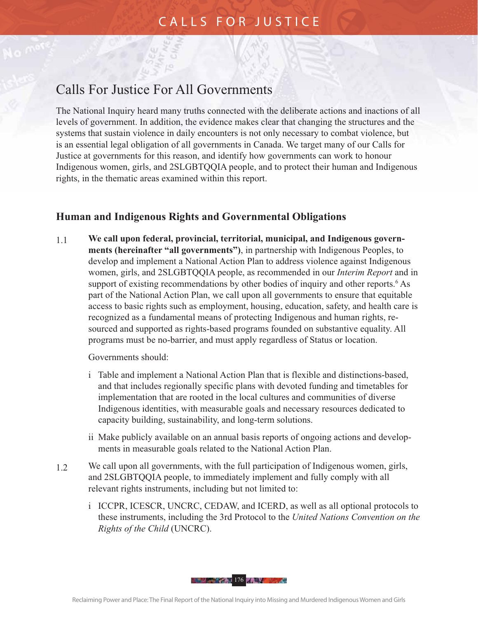### Calls For Justice For All Governments

The National Inquiry heard many truths connected with the deliberate actions and inactions of all levels of government. In addition, the evidence makes clear that changing the structures and the systems that sustain violence in daily encounters is not only necessary to combat violence, but is an essential legal obligation of all governments in Canada. We target many of our Calls for Justice at governments for this reason, and identify how governments can work to honour Indigenous women, girls, and 2SLGBTQQIA people, and to protect their human and Indigenous rights, in the thematic areas examined within this report.

#### **Human and Indigenous Rights and Governmental Obligations**

1.1 **We call upon federal, provincial, territorial, municipal, and Indigenous governments (hereinafter "all governments")**, in partnership with Indigenous Peoples, to develop and implement a National Action Plan to address violence against Indigenous women, girls, and 2SLGBTQQIA people, as recommended in our *Interim Report* and in support of existing recommendations by other bodies of inquiry and other reports.<sup>6</sup> As part of the National Action Plan, we call upon all governments to ensure that equitable access to basic rights such as employment, housing, education, safety, and health care is recognized as a fundamental means of protecting Indigenous and human rights, resourced and supported as rights-based programs founded on substantive equality. All programs must be no-barrier, and must apply regardless of Status or location.

Governments should:

- i Table and implement a National Action Plan that is flexible and distinctions-based, and that includes regionally specific plans with devoted funding and timetables for implementation that are rooted in the local cultures and communities of diverse Indigenous identities, with measurable goals and necessary resources dedicated to capacity building, sustainability, and long-term solutions.
- ii Make publicly available on an annual basis reports of ongoing actions and developments in measurable goals related to the National Action Plan.
- 1.2 We call upon all governments, with the full participation of Indigenous women, girls, and 2SLGBTQQIA people, to immediately implement and fully comply with all relevant rights instruments, including but not limited to:
	- i ICCPR, ICESCR, UNCRC, CEDAW, and ICERD, as well as all optional protocols to these instruments, including the 3rd Protocol to the *United Nations Convention on the Rights of the Child* (UNCRC).

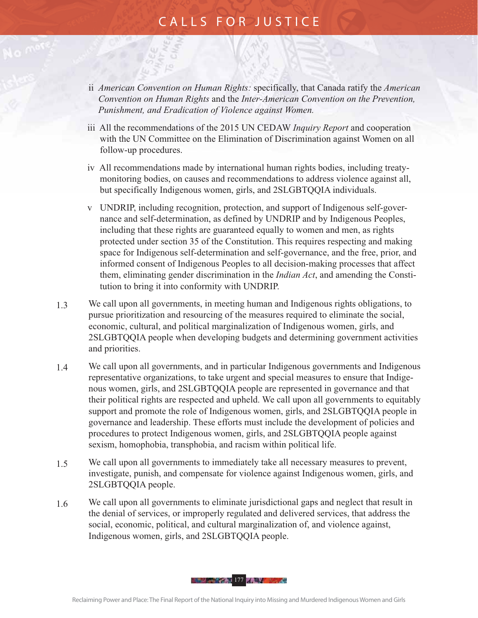- ii *American Convention on Human Rights:* specifically, that Canada ratify the *American Convention on Human Rights* and the *Inter-American Convention on the Prevention, Punishment, and Eradication of Violence against Women.*
- iii All the recommendations of the 2015 UN CEDAW *Inquiry Report* and cooperation with the UN Committee on the Elimination of Discrimination against Women on all follow-up procedures.
- iv All recommendations made by international human rights bodies, including treatymonitoring bodies, on causes and recommendations to address violence against all, but specifically Indigenous women, girls, and 2SLGBTQQIA individuals.
- v UNDRIP, including recognition, protection, and support of Indigenous self-governance and self-determination, as defined by UNDRIP and by Indigenous Peoples, including that these rights are guaranteed equally to women and men, as rights protected under section 35 of the Constitution. This requires respecting and making space for Indigenous self-determination and self-governance, and the free, prior, and informed consent of Indigenous Peoples to all decision-making processes that affect them, eliminating gender discrimination in the *Indian Act*, and amending the Constitution to bring it into conformity with UNDRIP.
- 1.3 We call upon all governments, in meeting human and Indigenous rights obligations, to pursue prioritization and resourcing of the measures required to eliminate the social, economic, cultural, and political marginalization of Indigenous women, girls, and 2SLGBTQQIA people when developing budgets and determining government activities and priorities.
- 1.4 We call upon all governments, and in particular Indigenous governments and Indigenous representative organizations, to take urgent and special measures to ensure that Indigenous women, girls, and 2SLGBTQQIA people are represented in governance and that their political rights are respected and upheld. We call upon all governments to equitably support and promote the role of Indigenous women, girls, and 2SLGBTQQIA people in governance and leadership. These efforts must include the development of policies and procedures to protect Indigenous women, girls, and 2SLGBTQQIA people against sexism, homophobia, transphobia, and racism within political life.
- 1.5 We call upon all governments to immediately take all necessary measures to prevent, investigate, punish, and compensate for violence against Indigenous women, girls, and 2SLGBTQQIA people.
- 1.6 We call upon all governments to eliminate jurisdictional gaps and neglect that result in the denial of services, or improperly regulated and delivered services, that address the social, economic, political, and cultural marginalization of, and violence against, Indigenous women, girls, and 2SLGBTQQIA people.

**177 - 177 - 177 - 188 - 189 - 189 - 189 - 189 - 189 - 189 - 189 - 189 - 189 - 189 - 189 - 189 - 189 - 189 - 18**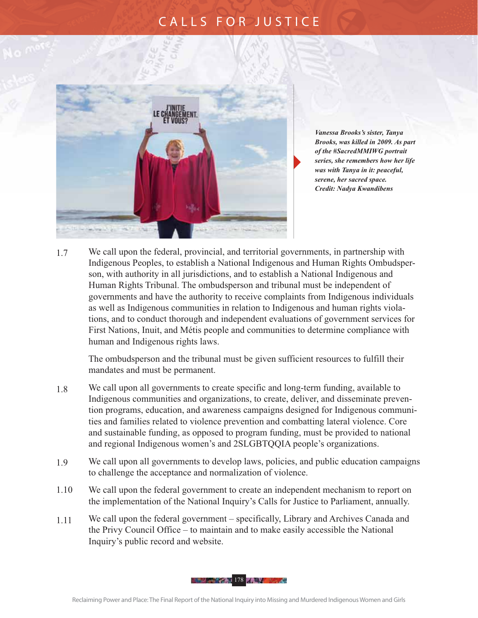

 *Vanessa Brooks's sister, Tanya Brooks, was killed in 2009. As part of the #SacredMMIWG portrait series, she remembers how her life was with Tanya in it: peaceful, serene, her sacred space. Credit: Nadya Kwandibens*

1.7 We call upon the federal, provincial, and territorial governments, in partnership with Indigenous Peoples, to establish a National Indigenous and Human Rights Ombudsperson, with authority in all jurisdictions, and to establish a National Indigenous and Human Rights Tribunal. The ombudsperson and tribunal must be independent of governments and have the authority to receive complaints from Indigenous individuals as well as Indigenous communities in relation to Indigenous and human rights violations, and to conduct thorough and independent evaluations of government services for First Nations, Inuit, and Métis people and communities to determine compliance with human and Indigenous rights laws.

The ombudsperson and the tribunal must be given sufficient resources to fulfill their mandates and must be permanent.

- 1.8 We call upon all governments to create specific and long-term funding, available to Indigenous communities and organizations, to create, deliver, and disseminate prevention programs, education, and awareness campaigns designed for Indigenous communities and families related to violence prevention and combatting lateral violence. Core and sustainable funding, as opposed to program funding, must be provided to national and regional Indigenous women's and 2SLGBTQQIA people's organizations.
- 1.9 We call upon all governments to develop laws, policies, and public education campaigns to challenge the acceptance and normalization of violence.
- 1.10 We call upon the federal government to create an independent mechanism to report on the implementation of the National Inquiry's Calls for Justice to Parliament, annually.
- 1.11 We call upon the federal government specifically, Library and Archives Canada and the Privy Council Office – to maintain and to make easily accessible the National Inquiry's public record and website.

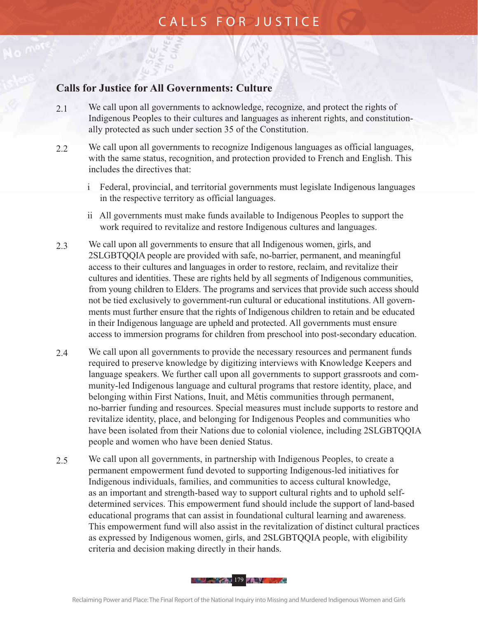#### **Calls for Justice for All Governments: Culture**

- 2.1 We call upon all governments to acknowledge, recognize, and protect the rights of Indigenous Peoples to their cultures and languages as inherent rights, and constitutionally protected as such under section 35 of the Constitution.
- 2.2 We call upon all governments to recognize Indigenous languages as official languages, with the same status, recognition, and protection provided to French and English. This includes the directives that:
	- i Federal, provincial, and territorial governments must legislate Indigenous languages in the respective territory as official languages.
	- ii All governments must make funds available to Indigenous Peoples to support the work required to revitalize and restore Indigenous cultures and languages.
- 2.3 We call upon all governments to ensure that all Indigenous women, girls, and 2SLGBTQQIA people are provided with safe, no-barrier, permanent, and meaningful access to their cultures and languages in order to restore, reclaim, and revitalize their cultures and identities. These are rights held by all segments of Indigenous communities, from young children to Elders. The programs and services that provide such access should not be tied exclusively to government-run cultural or educational institutions. All governments must further ensure that the rights of Indigenous children to retain and be educated in their Indigenous language are upheld and protected. All governments must ensure access to immersion programs for children from preschool into post-secondary education.
- 2.4 We call upon all governments to provide the necessary resources and permanent funds required to preserve knowledge by digitizing interviews with Knowledge Keepers and language speakers. We further call upon all governments to support grassroots and community-led Indigenous language and cultural programs that restore identity, place, and belonging within First Nations, Inuit, and Métis communities through permanent, no-barrier funding and resources. Special measures must include supports to restore and revitalize identity, place, and belonging for Indigenous Peoples and communities who have been isolated from their Nations due to colonial violence, including 2SLGBTQQIA people and women who have been denied Status.
- 2.5 We call upon all governments, in partnership with Indigenous Peoples, to create a permanent empowerment fund devoted to supporting Indigenous-led initiatives for Indigenous individuals, families, and communities to access cultural knowledge, as an important and strength-based way to support cultural rights and to uphold selfdetermined services. This empowerment fund should include the support of land-based educational programs that can assist in foundational cultural learning and awareness. This empowerment fund will also assist in the revitalization of distinct cultural practices as expressed by Indigenous women, girls, and 2SLGBTQQIA people, with eligibility criteria and decision making directly in their hands.

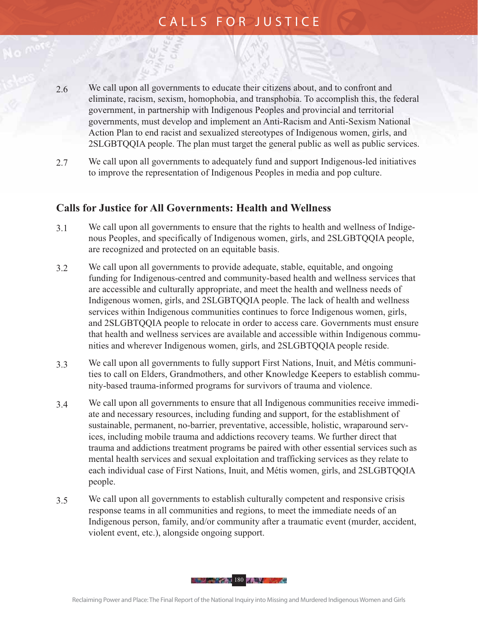- 2.6 We call upon all governments to educate their citizens about, and to confront and eliminate, racism, sexism, homophobia, and transphobia. To accomplish this, the federal government, in partnership with Indigenous Peoples and provincial and territorial governments, must develop and implement an Anti-Racism and Anti-Sexism National Action Plan to end racist and sexualized stereotypes of Indigenous women, girls, and 2SLGBTQQIA people. The plan must target the general public as well as public services.
- 2.7 We call upon all governments to adequately fund and support Indigenous-led initiatives to improve the representation of Indigenous Peoples in media and pop culture.

#### **Calls for Justice for All Governments: Health and Wellness**

- 3.1 We call upon all governments to ensure that the rights to health and wellness of Indigenous Peoples, and specifically of Indigenous women, girls, and 2SLGBTQQIA people, are recognized and protected on an equitable basis.
- 3.2 We call upon all governments to provide adequate, stable, equitable, and ongoing funding for Indigenous-centred and community-based health and wellness services that are accessible and culturally appropriate, and meet the health and wellness needs of Indigenous women, girls, and 2SLGBTQQIA people. The lack of health and wellness services within Indigenous communities continues to force Indigenous women, girls, and 2SLGBTQQIA people to relocate in order to access care. Governments must ensure that health and wellness services are available and accessible within Indigenous communities and wherever Indigenous women, girls, and 2SLGBTQQIA people reside.
- 3.3 We call upon all governments to fully support First Nations, Inuit, and Métis communities to call on Elders, Grandmothers, and other Knowledge Keepers to establish community-based trauma-informed programs for survivors of trauma and violence.
- 3.4 We call upon all governments to ensure that all Indigenous communities receive immediate and necessary resources, including funding and support, for the establishment of sustainable, permanent, no-barrier, preventative, accessible, holistic, wraparound services, including mobile trauma and addictions recovery teams. We further direct that trauma and addictions treatment programs be paired with other essential services such as mental health services and sexual exploitation and trafficking services as they relate to each individual case of First Nations, Inuit, and Métis women, girls, and 2SLGBTQQIA people.
- 3.5 We call upon all governments to establish culturally competent and responsive crisis response teams in all communities and regions, to meet the immediate needs of an Indigenous person, family, and/or community after a traumatic event (murder, accident, violent event, etc.), alongside ongoing support.

180 The Company of the Company of the Company of the Company of the Company of the Company of the Company of the Company of the Company of the Company of the Company of the Company of the Company of the Company of the Comp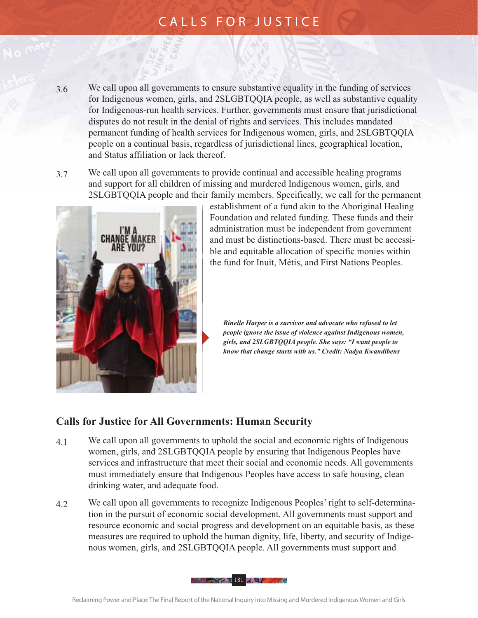- 3.6 We call upon all governments to ensure substantive equality in the funding of services for Indigenous women, girls, and 2SLGBTQQIA people, as well as substantive equality for Indigenous-run health services. Further, governments must ensure that jurisdictional disputes do not result in the denial of rights and services. This includes mandated permanent funding of health services for Indigenous women, girls, and 2SLGBTQQIA people on a continual basis, regardless of jurisdictional lines, geographical location, and Status affiliation or lack thereof.
- 3.7 We call upon all governments to provide continual and accessible healing programs and support for all children of missing and murdered Indigenous women, girls, and 2SLGBTQQIA people and their family members. Specifically, we call for the permanent



establishment of a fund akin to the Aboriginal Healing Foundation and related funding. These funds and their administration must be independent from government and must be distinctions-based. There must be accessible and equitable allocation of specific monies within the fund for Inuit, Métis, and First Nations Peoples.

 *Rinelle Harper is a survivor and advocate who refused to let people ignore the issue of violence against Indigenous women, girls, and 2SLGBTQQIA people. She says: "I want people to know that change starts with us." Credit: Nadya Kwandibens*

#### **Calls for Justice for All Governments: Human Security**

- 4.1 We call upon all governments to uphold the social and economic rights of Indigenous women, girls, and 2SLGBTQQIA people by ensuring that Indigenous Peoples have services and infrastructure that meet their social and economic needs. All governments must immediately ensure that Indigenous Peoples have access to safe housing, clean drinking water, and adequate food.
- 4.2 We call upon all governments to recognize Indigenous Peoples' right to self-determination in the pursuit of economic social development. All governments must support and resource economic and social progress and development on an equitable basis, as these measures are required to uphold the human dignity, life, liberty, and security of Indigenous women, girls, and 2SLGBTQQIA people. All governments must support and

**181 / William Company 181 / William Company**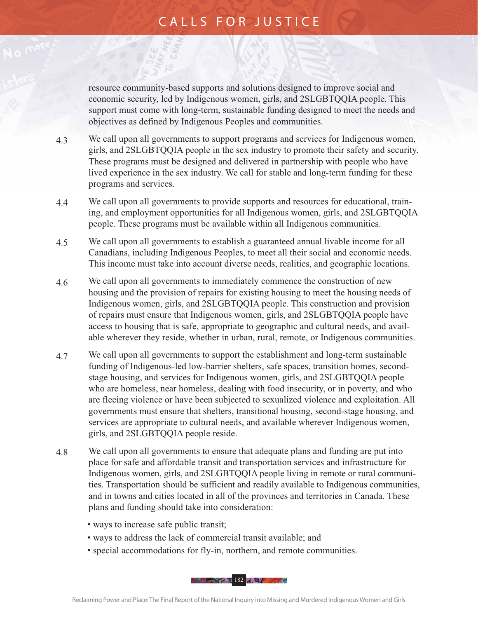resource community-based supports and solutions designed to improve social and economic security, led by Indigenous women, girls, and 2SLGBTQQIA people. This support must come with long-term, sustainable funding designed to meet the needs and objectives as defined by Indigenous Peoples and communities.

- 4.3 We call upon all governments to support programs and services for Indigenous women, girls, and 2SLGBTQQIA people in the sex industry to promote their safety and security. These programs must be designed and delivered in partnership with people who have lived experience in the sex industry. We call for stable and long-term funding for these programs and services.
- 4.4 We call upon all governments to provide supports and resources for educational, training, and employment opportunities for all Indigenous women, girls, and 2SLGBTQQIA people. These programs must be available within all Indigenous communities.
- 4.5 We call upon all governments to establish a guaranteed annual livable income for all Canadians, including Indigenous Peoples, to meet all their social and economic needs. This income must take into account diverse needs, realities, and geographic locations.
- 4.6 We call upon all governments to immediately commence the construction of new housing and the provision of repairs for existing housing to meet the housing needs of Indigenous women, girls, and 2SLGBTQQIA people. This construction and provision of repairs must ensure that Indigenous women, girls, and 2SLGBTQQIA people have access to housing that is safe, appropriate to geographic and cultural needs, and available wherever they reside, whether in urban, rural, remote, or Indigenous communities.
- 4.7 We call upon all governments to support the establishment and long-term sustainable funding of Indigenous-led low-barrier shelters, safe spaces, transition homes, secondstage housing, and services for Indigenous women, girls, and 2SLGBTQQIA people who are homeless, near homeless, dealing with food insecurity, or in poverty, and who are fleeing violence or have been subjected to sexualized violence and exploitation. All governments must ensure that shelters, transitional housing, second-stage housing, and services are appropriate to cultural needs, and available wherever Indigenous women, girls, and 2SLGBTQQIA people reside.
- 4.8 We call upon all governments to ensure that adequate plans and funding are put into place for safe and affordable transit and transportation services and infrastructure for Indigenous women, girls, and 2SLGBTQQIA people living in remote or rural communities. Transportation should be sufficient and readily available to Indigenous communities, and in towns and cities located in all of the provinces and territories in Canada. These plans and funding should take into consideration:
	- ways to increase safe public transit;
	- ways to address the lack of commercial transit available; and
	- special accommodations for fly-in, northern, and remote communities.

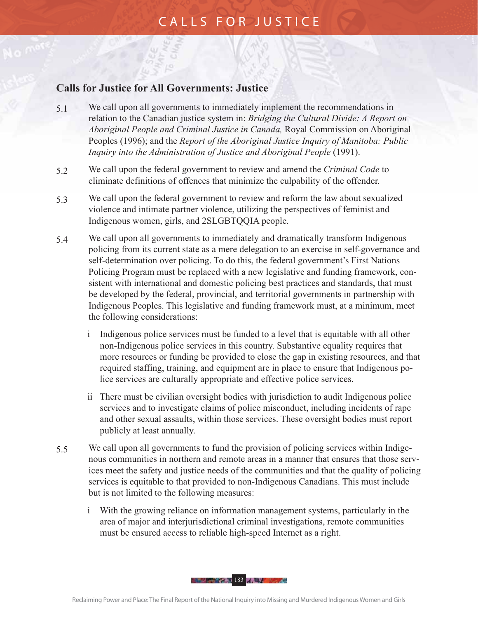#### **Calls for Justice for All Governments: Justice**

- 5.1 We call upon all governments to immediately implement the recommendations in relation to the Canadian justice system in: *Bridging the Cultural Divide: A Report on Aboriginal People and Criminal Justice in Canada,* Royal Commission on Aboriginal Peoples (1996); and the *Report of the Aboriginal Justice Inquiry of Manitoba: Public Inquiry into the Administration of Justice and Aboriginal People* (1991).
- 5.2 We call upon the federal government to review and amend the *Criminal Code* to eliminate definitions of offences that minimize the culpability of the offender.
- 5.3 We call upon the federal government to review and reform the law about sexualized violence and intimate partner violence, utilizing the perspectives of feminist and Indigenous women, girls, and 2SLGBTQQIA people.
- 5.4 We call upon all governments to immediately and dramatically transform Indigenous policing from its current state as a mere delegation to an exercise in self-governance and self-determination over policing. To do this, the federal government's First Nations Policing Program must be replaced with a new legislative and funding framework, consistent with international and domestic policing best practices and standards, that must be developed by the federal, provincial, and territorial governments in partnership with Indigenous Peoples. This legislative and funding framework must, at a minimum, meet the following considerations:
	- i Indigenous police services must be funded to a level that is equitable with all other non-Indigenous police services in this country. Substantive equality requires that more resources or funding be provided to close the gap in existing resources, and that required staffing, training, and equipment are in place to ensure that Indigenous police services are culturally appropriate and effective police services.
	- ii There must be civilian oversight bodies with jurisdiction to audit Indigenous police services and to investigate claims of police misconduct, including incidents of rape and other sexual assaults, within those services. These oversight bodies must report publicly at least annually.
- 5.5 We call upon all governments to fund the provision of policing services within Indigenous communities in northern and remote areas in a manner that ensures that those services meet the safety and justice needs of the communities and that the quality of policing services is equitable to that provided to non-Indigenous Canadians. This must include but is not limited to the following measures:
	- i With the growing reliance on information management systems, particularly in the area of major and interjurisdictional criminal investigations, remote communities must be ensured access to reliable high-speed Internet as a right.

183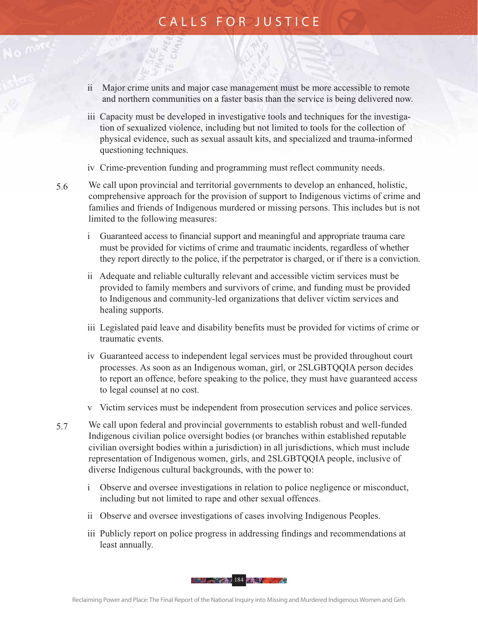- ii Major crime units and major case management must be more accessible to remote and northern communities on a faster basis than the service is being delivered now.
- iii Capacity must be developed in investigative tools and techniques for the investigation of sexualized violence, including but not limited to tools for the collection of physical evidence, such as sexual assault kits, and specialized and trauma-informed questioning techniques.
- iv Crime-prevention funding and programming must reflect community needs.
- 5.6 We call upon provincial and territorial governments to develop an enhanced, holistic, comprehensive approach for the provision of support to Indigenous victims of crime and families and friends of Indigenous murdered or missing persons. This includes but is not limited to the following measures:
	- i Guaranteed access to financial support and meaningful and appropriate trauma care must be provided for victims of crime and traumatic incidents, regardless of whether they report directly to the police, if the perpetrator is charged, or if there is a conviction.
	- ii Adequate and reliable culturally relevant and accessible victim services must be provided to family members and survivors of crime, and funding must be provided to Indigenous and community-led organizations that deliver victim services and healing supports.
	- iii Legislated paid leave and disability benefits must be provided for victims of crime or traumatic events.
	- iv Guaranteed access to independent legal services must be provided throughout court processes. As soon as an Indigenous woman, girl, or 2SLGBTQQIA person decides to report an offence, before speaking to the police, they must have guaranteed access to legal counsel at no cost.
	- v Victim services must be independent from prosecution services and police services.
- 5.7 We call upon federal and provincial governments to establish robust and well-funded Indigenous civilian police oversight bodies (or branches within established reputable civilian oversight bodies within a jurisdiction) in all jurisdictions, which must include representation of Indigenous women, girls, and 2SLGBTQQIA people, inclusive of diverse Indigenous cultural backgrounds, with the power to:
	- i Observe and oversee investigations in relation to police negligence or misconduct, including but not limited to rape and other sexual offences.
	- ii Observe and oversee investigations of cases involving Indigenous Peoples.
	- iii Publicly report on police progress in addressing findings and recommendations at least annually.

184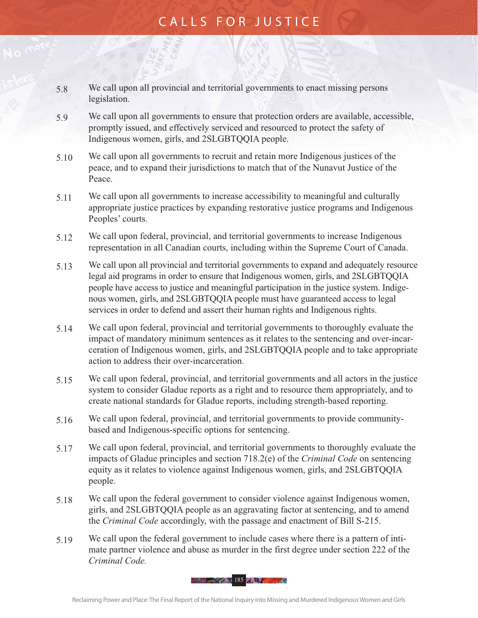- 5.8 We call upon all provincial and territorial governments to enact missing persons legislation.
- 5.9 We call upon all governments to ensure that protection orders are available, accessible, promptly issued, and effectively serviced and resourced to protect the safety of Indigenous women, girls, and 2SLGBTQQIA people.
- 5.10 We call upon all governments to recruit and retain more Indigenous justices of the peace, and to expand their jurisdictions to match that of the Nunavut Justice of the Peace.
- 5.11 We call upon all governments to increase accessibility to meaningful and culturally appropriate justice practices by expanding restorative justice programs and Indigenous Peoples' courts.
- 5.12 We call upon federal, provincial, and territorial governments to increase Indigenous representation in all Canadian courts, including within the Supreme Court of Canada.
- 5.13 We call upon all provincial and territorial governments to expand and adequately resource legal aid programs in order to ensure that Indigenous women, girls, and 2SLGBTQQIA people have access to justice and meaningful participation in the justice system. Indigenous women, girls, and 2SLGBTQQIA people must have guaranteed access to legal services in order to defend and assert their human rights and Indigenous rights.
- 5.14 We call upon federal, provincial and territorial governments to thoroughly evaluate the impact of mandatory minimum sentences as it relates to the sentencing and over-incarceration of Indigenous women, girls, and 2SLGBTQQIA people and to take appropriate action to address their over-incarceration.
- 5.15 We call upon federal, provincial, and territorial governments and all actors in the justice system to consider Gladue reports as a right and to resource them appropriately, and to create national standards for Gladue reports, including strength-based reporting.
- 5.16 We call upon federal, provincial, and territorial governments to provide communitybased and Indigenous-specific options for sentencing.
- 5.17 We call upon federal, provincial, and territorial governments to thoroughly evaluate the impacts of Gladue principles and section 718.2(e) of the *Criminal Code* on sentencing equity as it relates to violence against Indigenous women, girls, and 2SLGBTQQIA people.
- 5.18 We call upon the federal government to consider violence against Indigenous women, girls, and 2SLGBTQQIA people as an aggravating factor at sentencing, and to amend the *Criminal Code* accordingly, with the passage and enactment of Bill S-215.
- 5.19 We call upon the federal government to include cases where there is a pattern of intimate partner violence and abuse as murder in the first degree under section 222 of the *Criminal Code.*

185 April 185 April 185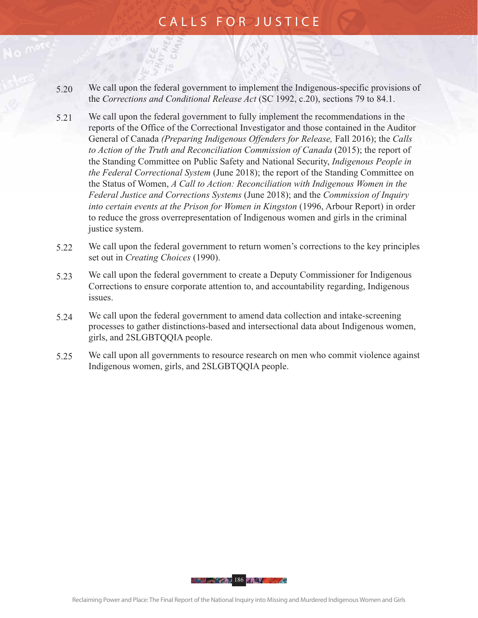- 5.20 We call upon the federal government to implement the Indigenous-specific provisions of the *Corrections and Conditional Release Act* (SC 1992, c.20), sections 79 to 84.1.
- 5.21 We call upon the federal government to fully implement the recommendations in the reports of the Office of the Correctional Investigator and those contained in the Auditor General of Canada *(Preparing Indigenous Offenders for Release,* Fall 2016); the *Calls to Action of the Truth and Reconciliation Commission of Canada* (2015); the report of the Standing Committee on Public Safety and National Security, *Indigenous People in the Federal Correctional System* (June 2018); the report of the Standing Committee on the Status of Women, *A Call to Action: Reconciliation with Indigenous Women in the Federal Justice and Corrections Systems* (June 2018); and the *Commission of Inquiry into certain events at the Prison for Women in Kingston* (1996, Arbour Report) in order to reduce the gross overrepresentation of Indigenous women and girls in the criminal justice system.
- 5.22 We call upon the federal government to return women's corrections to the key principles set out in *Creating Choices* (1990).
- 5.23 We call upon the federal government to create a Deputy Commissioner for Indigenous Corrections to ensure corporate attention to, and accountability regarding, Indigenous issues.
- 5.24 We call upon the federal government to amend data collection and intake-screening processes to gather distinctions-based and intersectional data about Indigenous women, girls, and 2SLGBTQQIA people.
- 5.25 We call upon all governments to resource research on men who commit violence against Indigenous women, girls, and 2SLGBTQQIA people.

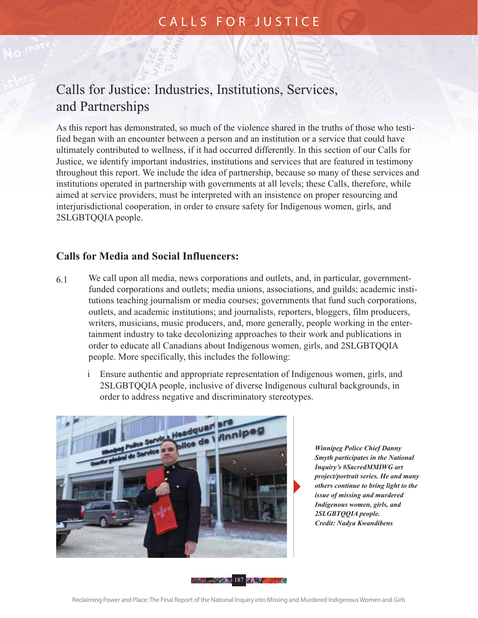# Calls for Justice: Industries, Institutions, Services, and Partnerships

As this report has demonstrated, so much of the violence shared in the truths of those who testified began with an encounter between a person and an institution or a service that could have ultimately contributed to wellness, if it had occurred differently. In this section of our Calls for Justice, we identify important industries, institutions and services that are featured in testimony throughout this report. We include the idea of partnership, because so many of these services and institutions operated in partnership with governments at all levels; these Calls, therefore, while aimed at service providers, must be interpreted with an insistence on proper resourcing and interjurisdictional cooperation, in order to ensure safety for Indigenous women, girls, and 2SLGBTQQIA people.

#### **Calls for Media and Social Influencers:**

- 6.1 We call upon all media, news corporations and outlets, and, in particular, governmentfunded corporations and outlets; media unions, associations, and guilds; academic institutions teaching journalism or media courses; governments that fund such corporations, outlets, and academic institutions; and journalists, reporters, bloggers, film producers, writers, musicians, music producers, and, more generally, people working in the entertainment industry to take decolonizing approaches to their work and publications in order to educate all Canadians about Indigenous women, girls, and 2SLGBTQQIA people. More specifically, this includes the following:
	- i Ensure authentic and appropriate representation of Indigenous women, girls, and 2SLGBTQQIA people, inclusive of diverse Indigenous cultural backgrounds, in order to address negative and discriminatory stereotypes.



 *Winnipeg Police Chief Danny Smyth participates in the National Inquiry's #SacredMMIWG art project/portrait series. He and many others continue to bring light to the issue of missing and murdered Indigenous women, girls, and 2SLGBTQQIA people. Credit: Nadya Kwandibens*

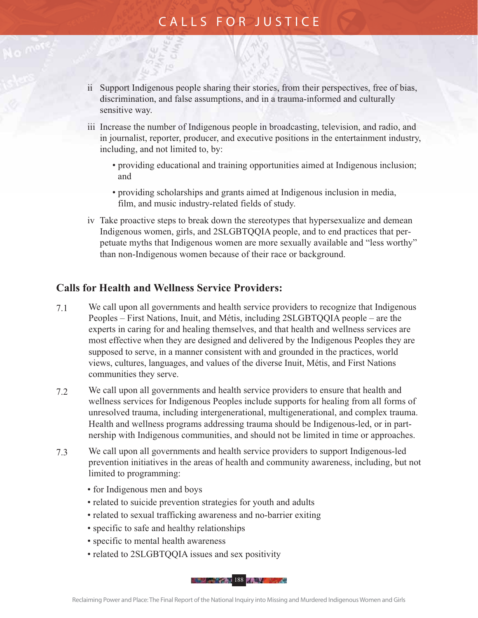- ii Support Indigenous people sharing their stories, from their perspectives, free of bias, discrimination, and false assumptions, and in a trauma-informed and culturally sensitive way.
- iii Increase the number of Indigenous people in broadcasting, television, and radio, and in journalist, reporter, producer, and executive positions in the entertainment industry, including, and not limited to, by:
	- providing educational and training opportunities aimed at Indigenous inclusion; and
	- providing scholarships and grants aimed at Indigenous inclusion in media, film, and music industry-related fields of study.
- iv Take proactive steps to break down the stereotypes that hypersexualize and demean Indigenous women, girls, and 2SLGBTQQIA people, and to end practices that perpetuate myths that Indigenous women are more sexually available and "less worthy" than non-Indigenous women because of their race or background.

#### **Calls for Health and Wellness Service Providers:**

- 7.1 We call upon all governments and health service providers to recognize that Indigenous Peoples – First Nations, Inuit, and Métis, including 2SLGBTQQIA people – are the experts in caring for and healing themselves, and that health and wellness services are most effective when they are designed and delivered by the Indigenous Peoples they are supposed to serve, in a manner consistent with and grounded in the practices, world views, cultures, languages, and values of the diverse Inuit, Métis, and First Nations communities they serve.
- 7.2 We call upon all governments and health service providers to ensure that health and wellness services for Indigenous Peoples include supports for healing from all forms of unresolved trauma, including intergenerational, multigenerational, and complex trauma. Health and wellness programs addressing trauma should be Indigenous-led, or in partnership with Indigenous communities, and should not be limited in time or approaches.
- 7.3 We call upon all governments and health service providers to support Indigenous-led prevention initiatives in the areas of health and community awareness, including, but not limited to programming:
	- for Indigenous men and boys
	- related to suicide prevention strategies for youth and adults
	- related to sexual trafficking awareness and no-barrier exiting
	- specific to safe and healthy relationships
	- specific to mental health awareness
	- related to 2SLGBTQQIA issues and sex positivity

188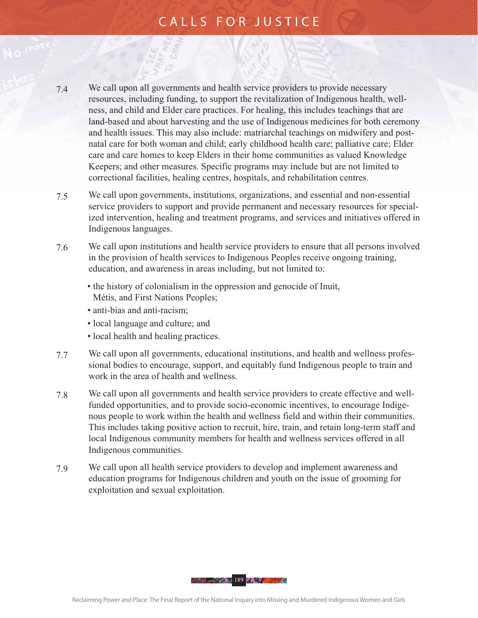- 7.4 We call upon all governments and health service providers to provide necessary resources, including funding, to support the revitalization of Indigenous health, wellness, and child and Elder care practices. For healing, this includes teachings that are land-based and about harvesting and the use of Indigenous medicines for both ceremony and health issues. This may also include: matriarchal teachings on midwifery and postnatal care for both woman and child; early childhood health care; palliative care; Elder care and care homes to keep Elders in their home communities as valued Knowledge Keepers; and other measures. Specific programs may include but are not limited to correctional facilities, healing centres, hospitals, and rehabilitation centres.
- 7.5 We call upon governments, institutions, organizations, and essential and non-essential service providers to support and provide permanent and necessary resources for specialized intervention, healing and treatment programs, and services and initiatives offered in Indigenous languages.
- 7.6 We call upon institutions and health service providers to ensure that all persons involved in the provision of health services to Indigenous Peoples receive ongoing training, education, and awareness in areas including, but not limited to:
	- the history of colonialism in the oppression and genocide of Inuit, Métis, and First Nations Peoples;
	- anti-bias and anti-racism;
	- local language and culture; and
	- local health and healing practices.
- 7.7 We call upon all governments, educational institutions, and health and wellness professional bodies to encourage, support, and equitably fund Indigenous people to train and work in the area of health and wellness.
- 7.8 We call upon all governments and health service providers to create effective and wellfunded opportunities, and to provide socio-economic incentives, to encourage Indigenous people to work within the health and wellness field and within their communities. This includes taking positive action to recruit, hire, train, and retain long-term staff and local Indigenous community members for health and wellness services offered in all Indigenous communities.
- 7.9 We call upon all health service providers to develop and implement awareness and education programs for Indigenous children and youth on the issue of grooming for exploitation and sexual exploitation.

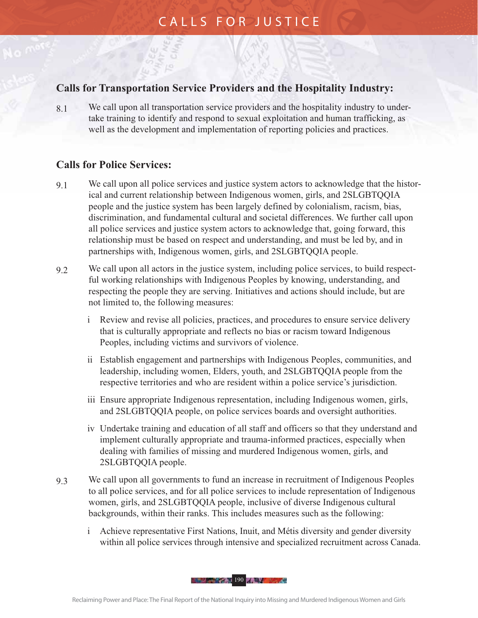#### **Calls for Transportation Service Providers and the Hospitality Industry:**

8.1 We call upon all transportation service providers and the hospitality industry to undertake training to identify and respond to sexual exploitation and human trafficking, as well as the development and implementation of reporting policies and practices.

#### **Calls for Police Services:**

- 9.1 We call upon all police services and justice system actors to acknowledge that the historical and current relationship between Indigenous women, girls, and 2SLGBTQQIA people and the justice system has been largely defined by colonialism, racism, bias, discrimination, and fundamental cultural and societal differences. We further call upon all police services and justice system actors to acknowledge that, going forward, this relationship must be based on respect and understanding, and must be led by, and in partnerships with, Indigenous women, girls, and 2SLGBTQQIA people.
- 9.2 We call upon all actors in the justice system, including police services, to build respectful working relationships with Indigenous Peoples by knowing, understanding, and respecting the people they are serving. Initiatives and actions should include, but are not limited to, the following measures:
	- i Review and revise all policies, practices, and procedures to ensure service delivery that is culturally appropriate and reflects no bias or racism toward Indigenous Peoples, including victims and survivors of violence.
	- ii Establish engagement and partnerships with Indigenous Peoples, communities, and leadership, including women, Elders, youth, and 2SLGBTQQIA people from the respective territories and who are resident within a police service's jurisdiction.
	- iii Ensure appropriate Indigenous representation, including Indigenous women, girls, and 2SLGBTQQIA people, on police services boards and oversight authorities.
	- iv Undertake training and education of all staff and officers so that they understand and implement culturally appropriate and trauma-informed practices, especially when dealing with families of missing and murdered Indigenous women, girls, and 2SLGBTQQIA people.
- 9.3 We call upon all governments to fund an increase in recruitment of Indigenous Peoples to all police services, and for all police services to include representation of Indigenous women, girls, and 2SLGBTQQIA people, inclusive of diverse Indigenous cultural backgrounds, within their ranks. This includes measures such as the following:
	- i Achieve representative First Nations, Inuit, and Métis diversity and gender diversity within all police services through intensive and specialized recruitment across Canada.

190 Million Street, 190 Million Street, 190 Million Street, 190 Million Street, 190 Million Street, 190 Million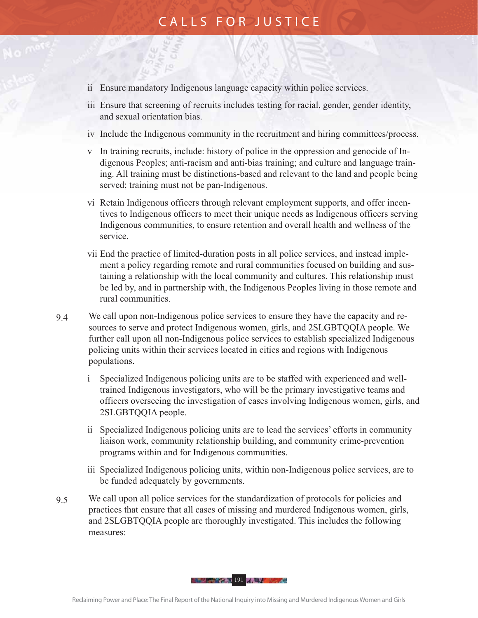- ii Ensure mandatory Indigenous language capacity within police services.
- iii Ensure that screening of recruits includes testing for racial, gender, gender identity, and sexual orientation bias.
- iv Include the Indigenous community in the recruitment and hiring committees/process.
- v In training recruits, include: history of police in the oppression and genocide of Indigenous Peoples; anti-racism and anti-bias training; and culture and language training. All training must be distinctions-based and relevant to the land and people being served; training must not be pan-Indigenous.
- vi Retain Indigenous officers through relevant employment supports, and offer incentives to Indigenous officers to meet their unique needs as Indigenous officers serving Indigenous communities, to ensure retention and overall health and wellness of the service.
- vii End the practice of limited-duration posts in all police services, and instead implement a policy regarding remote and rural communities focused on building and sustaining a relationship with the local community and cultures. This relationship must be led by, and in partnership with, the Indigenous Peoples living in those remote and rural communities.
- 9.4 We call upon non-Indigenous police services to ensure they have the capacity and resources to serve and protect Indigenous women, girls, and 2SLGBTQQIA people. We further call upon all non-Indigenous police services to establish specialized Indigenous policing units within their services located in cities and regions with Indigenous populations.
	- i Specialized Indigenous policing units are to be staffed with experienced and welltrained Indigenous investigators, who will be the primary investigative teams and officers overseeing the investigation of cases involving Indigenous women, girls, and 2SLGBTQQIA people.
	- ii Specialized Indigenous policing units are to lead the services' efforts in community liaison work, community relationship building, and community crime-prevention programs within and for Indigenous communities.
	- iii Specialized Indigenous policing units, within non-Indigenous police services, are to be funded adequately by governments.
- 9.5 We call upon all police services for the standardization of protocols for policies and practices that ensure that all cases of missing and murdered Indigenous women, girls, and 2SLGBTQQIA people are thoroughly investigated. This includes the following measures:

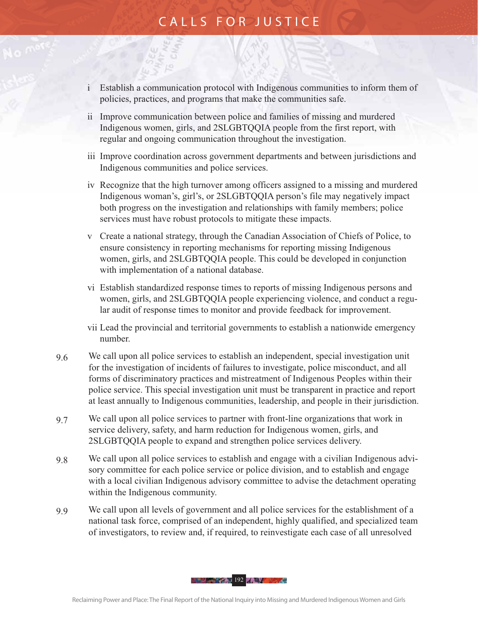- i Establish a communication protocol with Indigenous communities to inform them of policies, practices, and programs that make the communities safe.
- ii Improve communication between police and families of missing and murdered Indigenous women, girls, and 2SLGBTQQIA people from the first report, with regular and ongoing communication throughout the investigation.
- iii Improve coordination across government departments and between jurisdictions and Indigenous communities and police services.
- iv Recognize that the high turnover among officers assigned to a missing and murdered Indigenous woman's, girl's, or 2SLGBTQQIA person's file may negatively impact both progress on the investigation and relationships with family members; police services must have robust protocols to mitigate these impacts.
- v Create a national strategy, through the Canadian Association of Chiefs of Police, to ensure consistency in reporting mechanisms for reporting missing Indigenous women, girls, and 2SLGBTQQIA people. This could be developed in conjunction with implementation of a national database.
- vi Establish standardized response times to reports of missing Indigenous persons and women, girls, and 2SLGBTQQIA people experiencing violence, and conduct a regular audit of response times to monitor and provide feedback for improvement.
- vii Lead the provincial and territorial governments to establish a nationwide emergency number.
- 9.6 We call upon all police services to establish an independent, special investigation unit for the investigation of incidents of failures to investigate, police misconduct, and all forms of discriminatory practices and mistreatment of Indigenous Peoples within their police service. This special investigation unit must be transparent in practice and report at least annually to Indigenous communities, leadership, and people in their jurisdiction.
- 9.7 We call upon all police services to partner with front-line organizations that work in service delivery, safety, and harm reduction for Indigenous women, girls, and 2SLGBTQQIA people to expand and strengthen police services delivery.
- 9.8 We call upon all police services to establish and engage with a civilian Indigenous advisory committee for each police service or police division, and to establish and engage with a local civilian Indigenous advisory committee to advise the detachment operating within the Indigenous community.
- 9.9 We call upon all levels of government and all police services for the establishment of a national task force, comprised of an independent, highly qualified, and specialized team of investigators, to review and, if required, to reinvestigate each case of all unresolved

192 - Paul 192 - Paul 192 - Paul 192 - Paul 192 - Paul 192 - Paul 192 - Paul 192 - Paul 192 - Paul 192 - Paul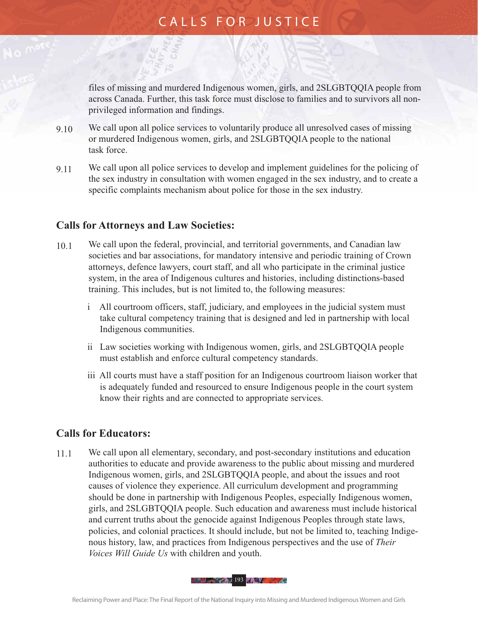files of missing and murdered Indigenous women, girls, and 2SLGBTQQIA people from across Canada. Further, this task force must disclose to families and to survivors all nonprivileged information and findings.

- 9.10 We call upon all police services to voluntarily produce all unresolved cases of missing or murdered Indigenous women, girls, and 2SLGBTQQIA people to the national task force.
- 9.11 We call upon all police services to develop and implement guidelines for the policing of the sex industry in consultation with women engaged in the sex industry, and to create a specific complaints mechanism about police for those in the sex industry.

#### **Calls for Attorneys and Law Societies:**

- 10.1 We call upon the federal, provincial, and territorial governments, and Canadian law societies and bar associations, for mandatory intensive and periodic training of Crown attorneys, defence lawyers, court staff, and all who participate in the criminal justice system, in the area of Indigenous cultures and histories, including distinctions-based training. This includes, but is not limited to, the following measures:
	- i All courtroom officers, staff, judiciary, and employees in the judicial system must take cultural competency training that is designed and led in partnership with local Indigenous communities.
	- ii Law societies working with Indigenous women, girls, and 2SLGBTQQIA people must establish and enforce cultural competency standards.
	- iii All courts must have a staff position for an Indigenous courtroom liaison worker that is adequately funded and resourced to ensure Indigenous people in the court system know their rights and are connected to appropriate services.

#### **Calls for Educators:**

11.1 We call upon all elementary, secondary, and post-secondary institutions and education authorities to educate and provide awareness to the public about missing and murdered Indigenous women, girls, and 2SLGBTQQIA people, and about the issues and root causes of violence they experience. All curriculum development and programming should be done in partnership with Indigenous Peoples, especially Indigenous women, girls, and 2SLGBTQQIA people. Such education and awareness must include historical and current truths about the genocide against Indigenous Peoples through state laws, policies, and colonial practices. It should include, but not be limited to, teaching Indigenous history, law, and practices from Indigenous perspectives and the use of *Their Voices Will Guide Us* with children and youth.

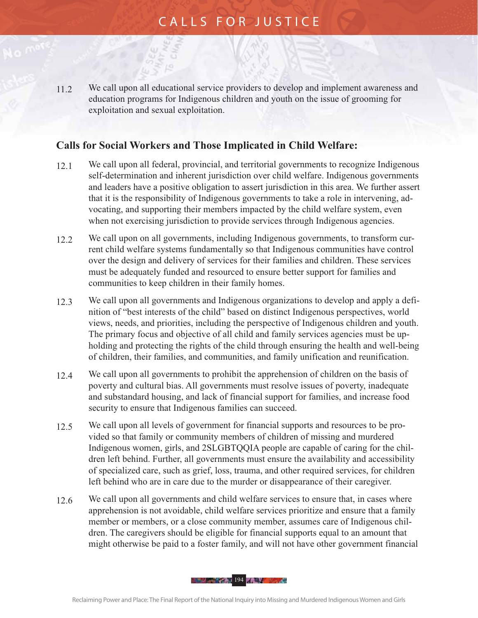11.2 We call upon all educational service providers to develop and implement awareness and education programs for Indigenous children and youth on the issue of grooming for exploitation and sexual exploitation.

#### **Calls for Social Workers and Those Implicated in Child Welfare:**

- 12.1 We call upon all federal, provincial, and territorial governments to recognize Indigenous self-determination and inherent jurisdiction over child welfare. Indigenous governments and leaders have a positive obligation to assert jurisdiction in this area. We further assert that it is the responsibility of Indigenous governments to take a role in intervening, advocating, and supporting their members impacted by the child welfare system, even when not exercising jurisdiction to provide services through Indigenous agencies.
- 12.2 We call upon on all governments, including Indigenous governments, to transform current child welfare systems fundamentally so that Indigenous communities have control over the design and delivery of services for their families and children. These services must be adequately funded and resourced to ensure better support for families and communities to keep children in their family homes.
- 12.3 We call upon all governments and Indigenous organizations to develop and apply a definition of "best interests of the child" based on distinct Indigenous perspectives, world views, needs, and priorities, including the perspective of Indigenous children and youth. The primary focus and objective of all child and family services agencies must be upholding and protecting the rights of the child through ensuring the health and well-being of children, their families, and communities, and family unification and reunification.
- 12.4 We call upon all governments to prohibit the apprehension of children on the basis of poverty and cultural bias. All governments must resolve issues of poverty, inadequate and substandard housing, and lack of financial support for families, and increase food security to ensure that Indigenous families can succeed.
- 12.5 We call upon all levels of government for financial supports and resources to be provided so that family or community members of children of missing and murdered Indigenous women, girls, and 2SLGBTQQIA people are capable of caring for the children left behind. Further, all governments must ensure the availability and accessibility of specialized care, such as grief, loss, trauma, and other required services, for children left behind who are in care due to the murder or disappearance of their caregiver.
- 12.6 We call upon all governments and child welfare services to ensure that, in cases where apprehension is not avoidable, child welfare services prioritize and ensure that a family member or members, or a close community member, assumes care of Indigenous children. The caregivers should be eligible for financial supports equal to an amount that might otherwise be paid to a foster family, and will not have other government financial

194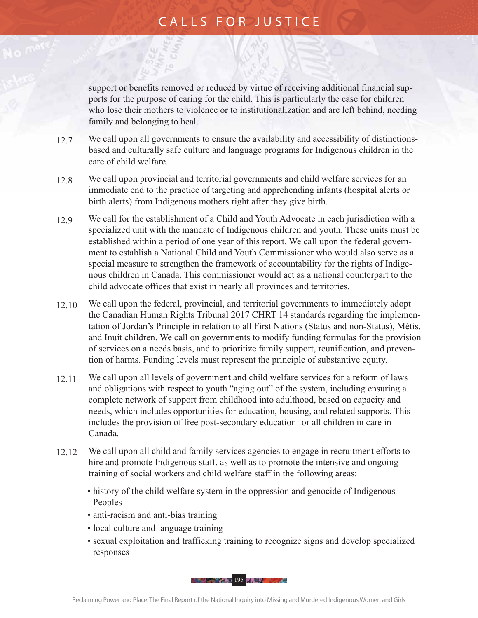support or benefits removed or reduced by virtue of receiving additional financial supports for the purpose of caring for the child. This is particularly the case for children who lose their mothers to violence or to institutionalization and are left behind, needing family and belonging to heal.

- 12.7 We call upon all governments to ensure the availability and accessibility of distinctionsbased and culturally safe culture and language programs for Indigenous children in the care of child welfare.
- 12.8 We call upon provincial and territorial governments and child welfare services for an immediate end to the practice of targeting and apprehending infants (hospital alerts or birth alerts) from Indigenous mothers right after they give birth.
- 12.9 We call for the establishment of a Child and Youth Advocate in each jurisdiction with a specialized unit with the mandate of Indigenous children and youth. These units must be established within a period of one year of this report. We call upon the federal government to establish a National Child and Youth Commissioner who would also serve as a special measure to strengthen the framework of accountability for the rights of Indigenous children in Canada. This commissioner would act as a national counterpart to the child advocate offices that exist in nearly all provinces and territories.
- 12.10 We call upon the federal, provincial, and territorial governments to immediately adopt the Canadian Human Rights Tribunal 2017 CHRT 14 standards regarding the implementation of Jordan's Principle in relation to all First Nations (Status and non-Status), Métis, and Inuit children. We call on governments to modify funding formulas for the provision of services on a needs basis, and to prioritize family support, reunification, and prevention of harms. Funding levels must represent the principle of substantive equity.
- 12.11 We call upon all levels of government and child welfare services for a reform of laws and obligations with respect to youth "aging out" of the system, including ensuring a complete network of support from childhood into adulthood, based on capacity and needs, which includes opportunities for education, housing, and related supports. This includes the provision of free post-secondary education for all children in care in Canada.
- 12.12 We call upon all child and family services agencies to engage in recruitment efforts to hire and promote Indigenous staff, as well as to promote the intensive and ongoing training of social workers and child welfare staff in the following areas:
	- history of the child welfare system in the oppression and genocide of Indigenous Peoples
	- anti-racism and anti-bias training
	- local culture and language training
	- sexual exploitation and trafficking training to recognize signs and develop specialized responses

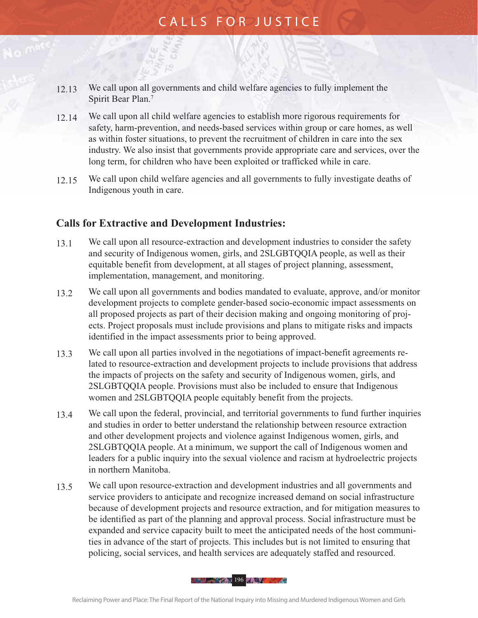- 12.13 We call upon all governments and child welfare agencies to fully implement the Spirit Bear Plan.7
- 12.14 We call upon all child welfare agencies to establish more rigorous requirements for safety, harm-prevention, and needs-based services within group or care homes, as well as within foster situations, to prevent the recruitment of children in care into the sex industry. We also insist that governments provide appropriate care and services, over the long term, for children who have been exploited or trafficked while in care.
- 12.15 We call upon child welfare agencies and all governments to fully investigate deaths of Indigenous youth in care.

#### **Calls for Extractive and Development Industries:**

- 13.1 We call upon all resource-extraction and development industries to consider the safety and security of Indigenous women, girls, and 2SLGBTQQIA people, as well as their equitable benefit from development, at all stages of project planning, assessment, implementation, management, and monitoring.
- 13.2 We call upon all governments and bodies mandated to evaluate, approve, and/or monitor development projects to complete gender-based socio-economic impact assessments on all proposed projects as part of their decision making and ongoing monitoring of projects. Project proposals must include provisions and plans to mitigate risks and impacts identified in the impact assessments prior to being approved.
- 13.3 We call upon all parties involved in the negotiations of impact-benefit agreements related to resource-extraction and development projects to include provisions that address the impacts of projects on the safety and security of Indigenous women, girls, and 2SLGBTQQIA people. Provisions must also be included to ensure that Indigenous women and 2SLGBTQQIA people equitably benefit from the projects.
- 13.4 We call upon the federal, provincial, and territorial governments to fund further inquiries and studies in order to better understand the relationship between resource extraction and other development projects and violence against Indigenous women, girls, and 2SLGBTQQIA people. At a minimum, we support the call of Indigenous women and leaders for a public inquiry into the sexual violence and racism at hydroelectric projects in northern Manitoba.
- 13.5 We call upon resource-extraction and development industries and all governments and service providers to anticipate and recognize increased demand on social infrastructure because of development projects and resource extraction, and for mitigation measures to be identified as part of the planning and approval process. Social infrastructure must be expanded and service capacity built to meet the anticipated needs of the host communities in advance of the start of projects. This includes but is not limited to ensuring that policing, social services, and health services are adequately staffed and resourced.

196 - Paul 196 - Paul 196 - Paul 196 - Paul 196 - Paul 196 - Paul 196 - Paul 196 - Paul 196 - Paul 196 - Paul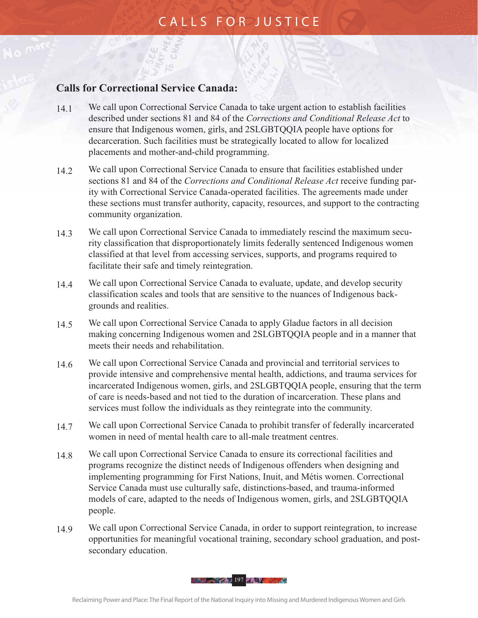#### **Calls for Correctional Service Canada:**

- 14.1 We call upon Correctional Service Canada to take urgent action to establish facilities described under sections 81 and 84 of the *Corrections and Conditional Release Act* to ensure that Indigenous women, girls, and 2SLGBTQQIA people have options for decarceration. Such facilities must be strategically located to allow for localized placements and mother-and-child programming.
- 14.2 We call upon Correctional Service Canada to ensure that facilities established under sections 81 and 84 of the *Corrections and Conditional Release Act* receive funding parity with Correctional Service Canada-operated facilities. The agreements made under these sections must transfer authority, capacity, resources, and support to the contracting community organization.
- 14.3 We call upon Correctional Service Canada to immediately rescind the maximum security classification that disproportionately limits federally sentenced Indigenous women classified at that level from accessing services, supports, and programs required to facilitate their safe and timely reintegration.
- 14.4 We call upon Correctional Service Canada to evaluate, update, and develop security classification scales and tools that are sensitive to the nuances of Indigenous backgrounds and realities.
- 14.5 We call upon Correctional Service Canada to apply Gladue factors in all decision making concerning Indigenous women and 2SLGBTQQIA people and in a manner that meets their needs and rehabilitation.
- 14.6 We call upon Correctional Service Canada and provincial and territorial services to provide intensive and comprehensive mental health, addictions, and trauma services for incarcerated Indigenous women, girls, and 2SLGBTQQIA people, ensuring that the term of care is needs-based and not tied to the duration of incarceration. These plans and services must follow the individuals as they reintegrate into the community.
- 14.7 We call upon Correctional Service Canada to prohibit transfer of federally incarcerated women in need of mental health care to all-male treatment centres.
- 14.8 We call upon Correctional Service Canada to ensure its correctional facilities and programs recognize the distinct needs of Indigenous offenders when designing and implementing programming for First Nations, Inuit, and Métis women. Correctional Service Canada must use culturally safe, distinctions-based, and trauma-informed models of care, adapted to the needs of Indigenous women, girls, and 2SLGBTQQIA people.
- 14.9 We call upon Correctional Service Canada, in order to support reintegration, to increase opportunities for meaningful vocational training, secondary school graduation, and postsecondary education.

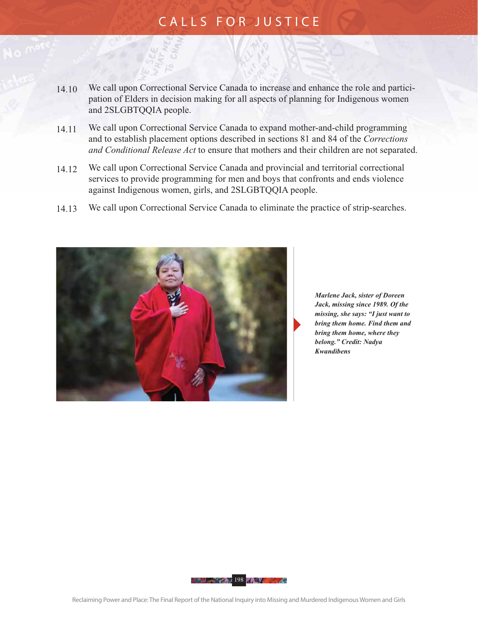- 14.10 We call upon Correctional Service Canada to increase and enhance the role and participation of Elders in decision making for all aspects of planning for Indigenous women and 2SLGBTQQIA people.
- 14.11 We call upon Correctional Service Canada to expand mother-and-child programming and to establish placement options described in sections 81 and 84 of the *Corrections and Conditional Release Act* to ensure that mothers and their children are not separated.
- 14.12 We call upon Correctional Service Canada and provincial and territorial correctional services to provide programming for men and boys that confronts and ends violence against Indigenous women, girls, and 2SLGBTQQIA people.
- 14.13 We call upon Correctional Service Canada to eliminate the practice of strip-searches.



 *Marlene Jack, sister of Doreen Jack, missing since 1989. Of the missing, she says: "I just want to bring them home. Find them and bring them home, where they belong." Credit: Nadya Kwandibens*

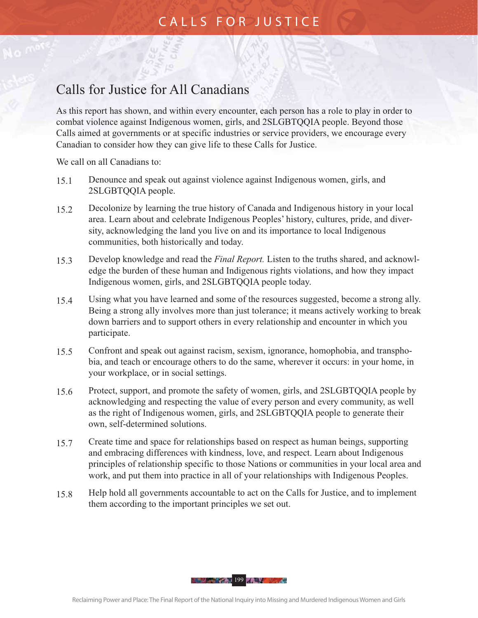# Calls for Justice for All Canadians

As this report has shown, and within every encounter, each person has a role to play in order to combat violence against Indigenous women, girls, and 2SLGBTQQIA people. Beyond those Calls aimed at governments or at specific industries or service providers, we encourage every Canadian to consider how they can give life to these Calls for Justice.

We call on all Canadians to:

- 15.1 Denounce and speak out against violence against Indigenous women, girls, and 2SLGBTQQIA people.
- 15.2 Decolonize by learning the true history of Canada and Indigenous history in your local area. Learn about and celebrate Indigenous Peoples' history, cultures, pride, and diversity, acknowledging the land you live on and its importance to local Indigenous communities, both historically and today.
- 15.3 Develop knowledge and read the *Final Report.* Listen to the truths shared, and acknowledge the burden of these human and Indigenous rights violations, and how they impact Indigenous women, girls, and 2SLGBTQQIA people today.
- 15.4 Using what you have learned and some of the resources suggested, become a strong ally. Being a strong ally involves more than just tolerance; it means actively working to break down barriers and to support others in every relationship and encounter in which you participate.
- 15.5 Confront and speak out against racism, sexism, ignorance, homophobia, and transphobia, and teach or encourage others to do the same, wherever it occurs: in your home, in your workplace, or in social settings.
- 15.6 Protect, support, and promote the safety of women, girls, and 2SLGBTQQIA people by acknowledging and respecting the value of every person and every community, as well as the right of Indigenous women, girls, and 2SLGBTQQIA people to generate their own, self-determined solutions.
- 15.7 Create time and space for relationships based on respect as human beings, supporting and embracing differences with kindness, love, and respect. Learn about Indigenous principles of relationship specific to those Nations or communities in your local area and work, and put them into practice in all of your relationships with Indigenous Peoples.
- 15.8 Help hold all governments accountable to act on the Calls for Justice, and to implement them according to the important principles we set out.

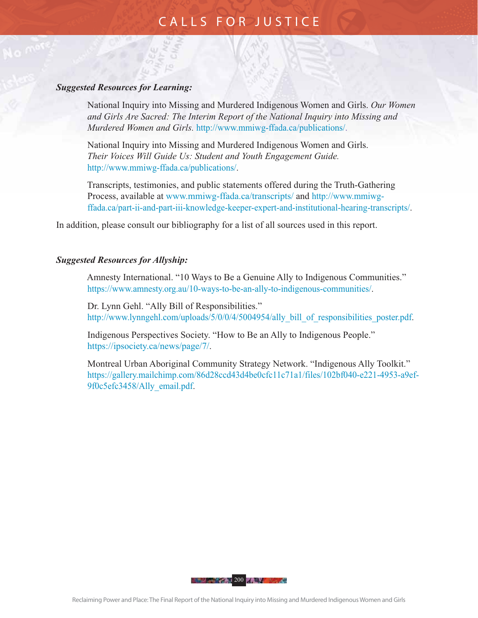#### *Suggested Resources for Learning:*

National Inquiry into Missing and Murdered Indigenous Women and Girls. *Our Women and Girls Are Sacred: The Interim Report of the National Inquiry into Missing and Murdered Women and Girls.* http://www.mmiwg-ffada.ca/publications/.

National Inquiry into Missing and Murdered Indigenous Women and Girls. *Their Voices Will Guide Us: Student and Youth Engagement Guide.* http://www.mmiwg-ffada.ca/publications/.

Transcripts, testimonies, and public statements offered during the Truth-Gathering Process, available at www.mmiwg-ffada.ca/transcripts/ and http://www.mmiwgffada.ca/part-ii-and-part-iii-knowledge-keeper-expert-and-institutional-hearing-transcripts/.

In addition, please consult our bibliography for a list of all sources used in this report.

#### *Suggested Resources for Allyship:*

Amnesty International. "10 Ways to Be a Genuine Ally to Indigenous Communities." https://www.amnesty.org.au/10-ways-to-be-an-ally-to-indigenous-communities/.

Dr. Lynn Gehl. "Ally Bill of Responsibilities." http://www.lynngehl.com/uploads/5/0/0/4/5004954/ally\_bill\_of\_responsibilities\_poster.pdf.

Indigenous Perspectives Society. "How to Be an Ally to Indigenous People." https://ipsociety.ca/news/page/7/.

Montreal Urban Aboriginal Community Strategy Network. "Indigenous Ally Toolkit." https://gallery.mailchimp.com/86d28ccd43d4be0cfc11c71a1/files/102bf040-e221-4953-a9ef-9f0c5efc3458/Ally\_email.pdf.

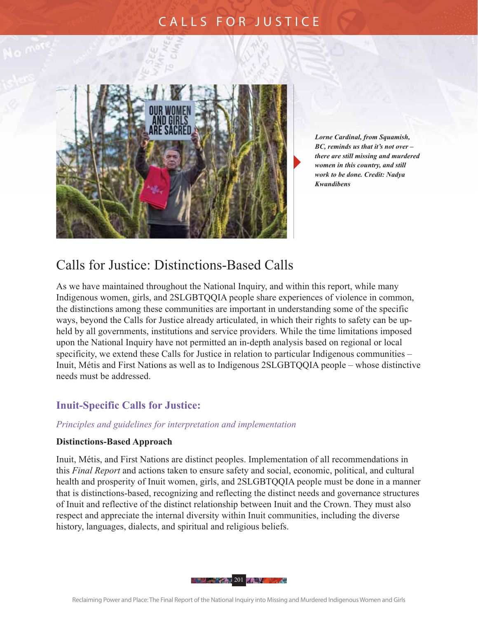

 *Lorne Cardinal, from Squamish, BC, reminds us that it's not over – there are still missing and murdered women in this country, and still work to be done. Credit: Nadya Kwandibens*

### Calls for Justice: Distinctions-Based Calls

As we have maintained throughout the National Inquiry, and within this report, while many Indigenous women, girls, and 2SLGBTQQIA people share experiences of violence in common, the distinctions among these communities are important in understanding some of the specific ways, beyond the Calls for Justice already articulated, in which their rights to safety can be upheld by all governments, institutions and service providers. While the time limitations imposed upon the National Inquiry have not permitted an in-depth analysis based on regional or local specificity, we extend these Calls for Justice in relation to particular Indigenous communities – Inuit, Métis and First Nations as well as to Indigenous 2SLGBTQQIA people – whose distinctive needs must be addressed.

#### **Inuit-Specific Calls for Justice:**

#### *Principles and guidelines for interpretation and implementation*

#### **Distinctions-Based Approach**

Inuit, Métis, and First Nations are distinct peoples. Implementation of all recommendations in this *Final Report* and actions taken to ensure safety and social, economic, political, and cultural health and prosperity of Inuit women, girls, and 2SLGBTQQIA people must be done in a manner that is distinctions-based, recognizing and reflecting the distinct needs and governance structures of Inuit and reflective of the distinct relationship between Inuit and the Crown. They must also respect and appreciate the internal diversity within Inuit communities, including the diverse history, languages, dialects, and spiritual and religious beliefs.

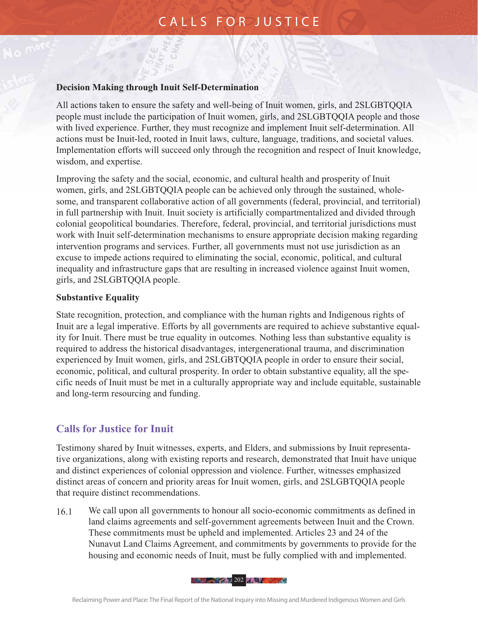#### **Decision Making through Inuit Self-Determination**

All actions taken to ensure the safety and well-being of Inuit women, girls, and 2SLGBTQQIA people must include the participation of Inuit women, girls, and 2SLGBTQQIA people and those with lived experience. Further, they must recognize and implement Inuit self-determination. All actions must be Inuit-led, rooted in Inuit laws, culture, language, traditions, and societal values. Implementation efforts will succeed only through the recognition and respect of Inuit knowledge, wisdom, and expertise.

Improving the safety and the social, economic, and cultural health and prosperity of Inuit women, girls, and 2SLGBTQQIA people can be achieved only through the sustained, wholesome, and transparent collaborative action of all governments (federal, provincial, and territorial) in full partnership with Inuit. Inuit society is artificially compartmentalized and divided through colonial geopolitical boundaries. Therefore, federal, provincial, and territorial jurisdictions must work with Inuit self-determination mechanisms to ensure appropriate decision making regarding intervention programs and services. Further, all governments must not use jurisdiction as an excuse to impede actions required to eliminating the social, economic, political, and cultural inequality and infrastructure gaps that are resulting in increased violence against Inuit women, girls, and 2SLGBTQQIA people.

#### **Substantive Equality**

State recognition, protection, and compliance with the human rights and Indigenous rights of Inuit are a legal imperative. Efforts by all governments are required to achieve substantive equality for Inuit. There must be true equality in outcomes. Nothing less than substantive equality is required to address the historical disadvantages, intergenerational trauma, and discrimination experienced by Inuit women, girls, and 2SLGBTQQIA people in order to ensure their social, economic, political, and cultural prosperity. In order to obtain substantive equality, all the specific needs of Inuit must be met in a culturally appropriate way and include equitable, sustainable and long-term resourcing and funding.

#### **Calls for Justice for Inuit**

Testimony shared by Inuit witnesses, experts, and Elders, and submissions by Inuit representative organizations, along with existing reports and research, demonstrated that Inuit have unique and distinct experiences of colonial oppression and violence. Further, witnesses emphasized distinct areas of concern and priority areas for Inuit women, girls, and 2SLGBTQQIA people that require distinct recommendations.

16.1 We call upon all governments to honour all socio-economic commitments as defined in land claims agreements and self-government agreements between Inuit and the Crown. These commitments must be upheld and implemented. Articles 23 and 24 of the Nunavut Land Claims Agreement, and commitments by governments to provide for the housing and economic needs of Inuit, must be fully complied with and implemented.

**202 202 202 202**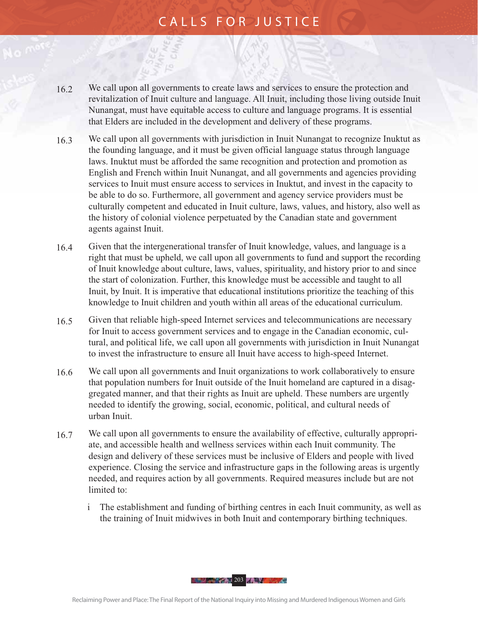- 16.2 We call upon all governments to create laws and services to ensure the protection and revitalization of Inuit culture and language. All Inuit, including those living outside Inuit Nunangat, must have equitable access to culture and language programs. It is essential that Elders are included in the development and delivery of these programs.
- 16.3 We call upon all governments with jurisdiction in Inuit Nunangat to recognize Inuktut as the founding language, and it must be given official language status through language laws. Inuktut must be afforded the same recognition and protection and promotion as English and French within Inuit Nunangat, and all governments and agencies providing services to Inuit must ensure access to services in Inuktut, and invest in the capacity to be able to do so. Furthermore, all government and agency service providers must be culturally competent and educated in Inuit culture, laws, values, and history, also well as the history of colonial violence perpetuated by the Canadian state and government agents against Inuit.
- 16.4 Given that the intergenerational transfer of Inuit knowledge, values, and language is a right that must be upheld, we call upon all governments to fund and support the recording of Inuit knowledge about culture, laws, values, spirituality, and history prior to and since the start of colonization. Further, this knowledge must be accessible and taught to all Inuit, by Inuit. It is imperative that educational institutions prioritize the teaching of this knowledge to Inuit children and youth within all areas of the educational curriculum.
- 16.5 Given that reliable high-speed Internet services and telecommunications are necessary for Inuit to access government services and to engage in the Canadian economic, cultural, and political life, we call upon all governments with jurisdiction in Inuit Nunangat to invest the infrastructure to ensure all Inuit have access to high-speed Internet.
- 16.6 We call upon all governments and Inuit organizations to work collaboratively to ensure that population numbers for Inuit outside of the Inuit homeland are captured in a disaggregated manner, and that their rights as Inuit are upheld. These numbers are urgently needed to identify the growing, social, economic, political, and cultural needs of urban Inuit.
- 16.7 We call upon all governments to ensure the availability of effective, culturally appropriate, and accessible health and wellness services within each Inuit community. The design and delivery of these services must be inclusive of Elders and people with lived experience. Closing the service and infrastructure gaps in the following areas is urgently needed, and requires action by all governments. Required measures include but are not limited to:
	- i The establishment and funding of birthing centres in each Inuit community, as well as the training of Inuit midwives in both Inuit and contemporary birthing techniques.

**203 - 203 - 204 - 204 - 204 - 204 - 204 - 204 - 204 - 204 - 204 - 204 - 204 - 204 - 204 - 204 - 204 - 204 - 20**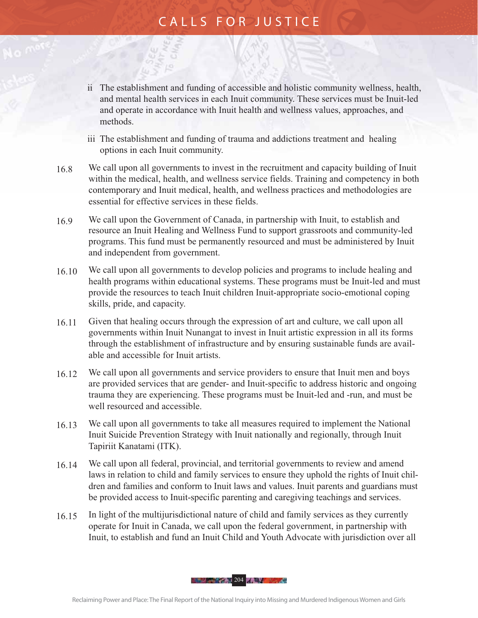- ii The establishment and funding of accessible and holistic community wellness, health, and mental health services in each Inuit community. These services must be Inuit-led and operate in accordance with Inuit health and wellness values, approaches, and methods.
- iii The establishment and funding of trauma and addictions treatment and healing options in each Inuit community.
- 16.8 We call upon all governments to invest in the recruitment and capacity building of Inuit within the medical, health, and wellness service fields. Training and competency in both contemporary and Inuit medical, health, and wellness practices and methodologies are essential for effective services in these fields.
- 16.9 We call upon the Government of Canada, in partnership with Inuit, to establish and resource an Inuit Healing and Wellness Fund to support grassroots and community-led programs. This fund must be permanently resourced and must be administered by Inuit and independent from government.
- 16.10 We call upon all governments to develop policies and programs to include healing and health programs within educational systems. These programs must be Inuit-led and must provide the resources to teach Inuit children Inuit-appropriate socio-emotional coping skills, pride, and capacity.
- 16.11 Given that healing occurs through the expression of art and culture, we call upon all governments within Inuit Nunangat to invest in Inuit artistic expression in all its forms through the establishment of infrastructure and by ensuring sustainable funds are available and accessible for Inuit artists.
- 16.12 We call upon all governments and service providers to ensure that Inuit men and boys are provided services that are gender- and Inuit-specific to address historic and ongoing trauma they are experiencing. These programs must be Inuit-led and -run, and must be well resourced and accessible.
- 16.13 We call upon all governments to take all measures required to implement the National Inuit Suicide Prevention Strategy with Inuit nationally and regionally, through Inuit Tapiriit Kanatami (ITK).
- 16.14 We call upon all federal, provincial, and territorial governments to review and amend laws in relation to child and family services to ensure they uphold the rights of Inuit children and families and conform to Inuit laws and values. Inuit parents and guardians must be provided access to Inuit-specific parenting and caregiving teachings and services.
- 16.15 In light of the multijurisdictional nature of child and family services as they currently operate for Inuit in Canada, we call upon the federal government, in partnership with Inuit, to establish and fund an Inuit Child and Youth Advocate with jurisdiction over all

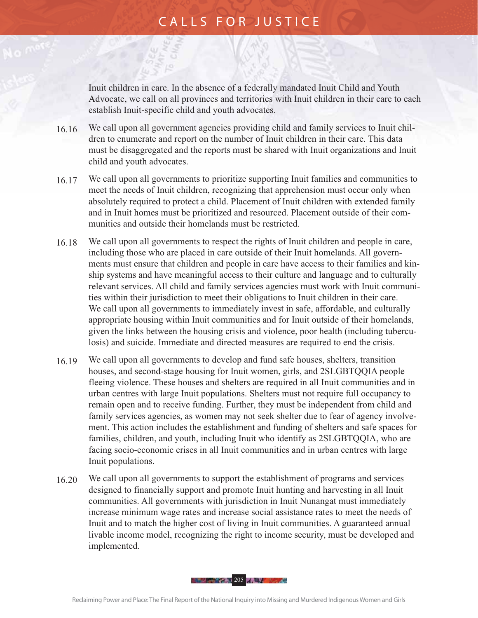Inuit children in care. In the absence of a federally mandated Inuit Child and Youth Advocate, we call on all provinces and territories with Inuit children in their care to each establish Inuit-specific child and youth advocates.

- 16.16 We call upon all government agencies providing child and family services to Inuit children to enumerate and report on the number of Inuit children in their care. This data must be disaggregated and the reports must be shared with Inuit organizations and Inuit child and youth advocates.
- 16.17 We call upon all governments to prioritize supporting Inuit families and communities to meet the needs of Inuit children, recognizing that apprehension must occur only when absolutely required to protect a child. Placement of Inuit children with extended family and in Inuit homes must be prioritized and resourced. Placement outside of their communities and outside their homelands must be restricted.
- 16.18 We call upon all governments to respect the rights of Inuit children and people in care, including those who are placed in care outside of their Inuit homelands. All governments must ensure that children and people in care have access to their families and kinship systems and have meaningful access to their culture and language and to culturally relevant services. All child and family services agencies must work with Inuit communities within their jurisdiction to meet their obligations to Inuit children in their care. We call upon all governments to immediately invest in safe, affordable, and culturally appropriate housing within Inuit communities and for Inuit outside of their homelands, given the links between the housing crisis and violence, poor health (including tuberculosis) and suicide. Immediate and directed measures are required to end the crisis.
- 16.19 We call upon all governments to develop and fund safe houses, shelters, transition houses, and second-stage housing for Inuit women, girls, and 2SLGBTQQIA people fleeing violence. These houses and shelters are required in all Inuit communities and in urban centres with large Inuit populations. Shelters must not require full occupancy to remain open and to receive funding. Further, they must be independent from child and family services agencies, as women may not seek shelter due to fear of agency involvement. This action includes the establishment and funding of shelters and safe spaces for families, children, and youth, including Inuit who identify as 2SLGBTQQIA, who are facing socio-economic crises in all Inuit communities and in urban centres with large Inuit populations.
- 16.20 We call upon all governments to support the establishment of programs and services designed to financially support and promote Inuit hunting and harvesting in all Inuit communities. All governments with jurisdiction in Inuit Nunangat must immediately increase minimum wage rates and increase social assistance rates to meet the needs of Inuit and to match the higher cost of living in Inuit communities. A guaranteed annual livable income model, recognizing the right to income security, must be developed and implemented.

**205 - 205 - 205 - 205 - 205 - 205 - 205 - 205 - 205 - 205 - 205 - 205 - 205 - 205 - 205 - 205 - 205 - 205 - 20**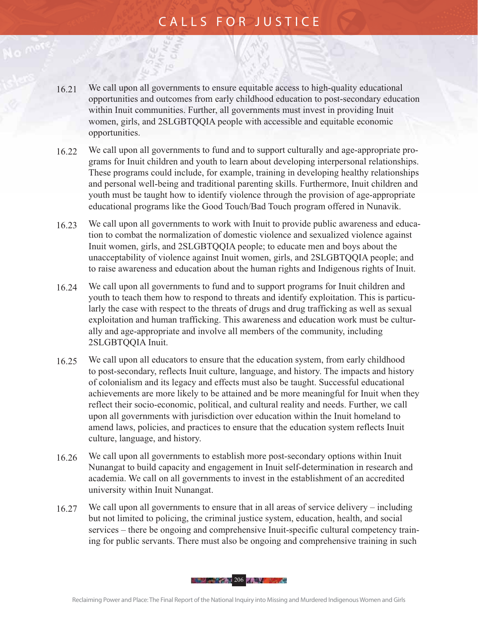- 16.21 We call upon all governments to ensure equitable access to high-quality educational opportunities and outcomes from early childhood education to post-secondary education within Inuit communities. Further, all governments must invest in providing Inuit women, girls, and 2SLGBTQQIA people with accessible and equitable economic opportunities.
- 16.22 We call upon all governments to fund and to support culturally and age-appropriate programs for Inuit children and youth to learn about developing interpersonal relationships. These programs could include, for example, training in developing healthy relationships and personal well-being and traditional parenting skills. Furthermore, Inuit children and youth must be taught how to identify violence through the provision of age-appropriate educational programs like the Good Touch/Bad Touch program offered in Nunavik.
- 16.23 We call upon all governments to work with Inuit to provide public awareness and education to combat the normalization of domestic violence and sexualized violence against Inuit women, girls, and 2SLGBTQQIA people; to educate men and boys about the unacceptability of violence against Inuit women, girls, and 2SLGBTQQIA people; and to raise awareness and education about the human rights and Indigenous rights of Inuit.
- 16.24 We call upon all governments to fund and to support programs for Inuit children and youth to teach them how to respond to threats and identify exploitation. This is particularly the case with respect to the threats of drugs and drug trafficking as well as sexual exploitation and human trafficking. This awareness and education work must be culturally and age-appropriate and involve all members of the community, including 2SLGBTQQIA Inuit.
- 16.25 We call upon all educators to ensure that the education system, from early childhood to post-secondary, reflects Inuit culture, language, and history. The impacts and history of colonialism and its legacy and effects must also be taught. Successful educational achievements are more likely to be attained and be more meaningful for Inuit when they reflect their socio-economic, political, and cultural reality and needs. Further, we call upon all governments with jurisdiction over education within the Inuit homeland to amend laws, policies, and practices to ensure that the education system reflects Inuit culture, language, and history.
- 16.26 We call upon all governments to establish more post-secondary options within Inuit Nunangat to build capacity and engagement in Inuit self-determination in research and academia. We call on all governments to invest in the establishment of an accredited university within Inuit Nunangat.
- 16.27 We call upon all governments to ensure that in all areas of service delivery including but not limited to policing, the criminal justice system, education, health, and social services – there be ongoing and comprehensive Inuit-specific cultural competency training for public servants. There must also be ongoing and comprehensive training in such

**206 - 206 - 206 - 206 - 206 - 206 - 206 - 206 - 206 - 206 - 206 - 206 - 206 - 206 - 206 - 206 - 206 - 206 - 20**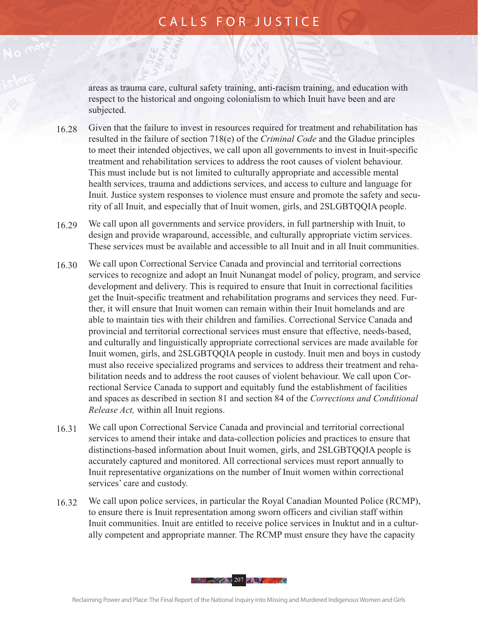areas as trauma care, cultural safety training, anti-racism training, and education with respect to the historical and ongoing colonialism to which Inuit have been and are subjected.

- 16.28 Given that the failure to invest in resources required for treatment and rehabilitation has resulted in the failure of section 718(e) of the *Criminal Code* and the Gladue principles to meet their intended objectives, we call upon all governments to invest in Inuit-specific treatment and rehabilitation services to address the root causes of violent behaviour. This must include but is not limited to culturally appropriate and accessible mental health services, trauma and addictions services, and access to culture and language for Inuit. Justice system responses to violence must ensure and promote the safety and security of all Inuit, and especially that of Inuit women, girls, and 2SLGBTQQIA people.
- 16.29 We call upon all governments and service providers, in full partnership with Inuit, to design and provide wraparound, accessible, and culturally appropriate victim services. These services must be available and accessible to all Inuit and in all Inuit communities.
- 16.30 We call upon Correctional Service Canada and provincial and territorial corrections services to recognize and adopt an Inuit Nunangat model of policy, program, and service development and delivery. This is required to ensure that Inuit in correctional facilities get the Inuit-specific treatment and rehabilitation programs and services they need. Further, it will ensure that Inuit women can remain within their Inuit homelands and are able to maintain ties with their children and families. Correctional Service Canada and provincial and territorial correctional services must ensure that effective, needs-based, and culturally and linguistically appropriate correctional services are made available for Inuit women, girls, and 2SLGBTQQIA people in custody. Inuit men and boys in custody must also receive specialized programs and services to address their treatment and rehabilitation needs and to address the root causes of violent behaviour. We call upon Correctional Service Canada to support and equitably fund the establishment of facilities and spaces as described in section 81 and section 84 of the *Corrections and Conditional Release Act,* within all Inuit regions.
- 16.31 We call upon Correctional Service Canada and provincial and territorial correctional services to amend their intake and data-collection policies and practices to ensure that distinctions-based information about Inuit women, girls, and 2SLGBTQQIA people is accurately captured and monitored. All correctional services must report annually to Inuit representative organizations on the number of Inuit women within correctional services' care and custody.
- 16.32 We call upon police services, in particular the Royal Canadian Mounted Police (RCMP), to ensure there is Inuit representation among sworn officers and civilian staff within Inuit communities. Inuit are entitled to receive police services in Inuktut and in a culturally competent and appropriate manner. The RCMP must ensure they have the capacity

**207 - 207 - 207 - 208 - 208 - 208 - 208 - 208 - 208 - 208 - 208 - 208 - 208 - 208 - 208 - 208 - 208 - 208 - 20**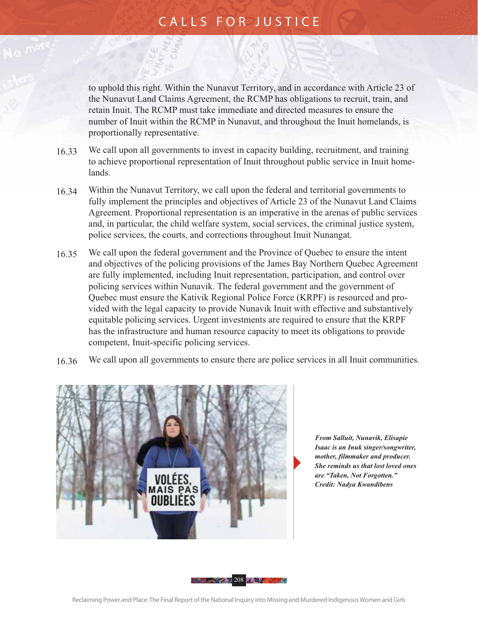to uphold this right. Within the Nunavut Territory, and in accordance with Article 23 of the Nunavut Land Claims Agreement, the RCMP has obligations to recruit, train, and retain Inuit. The RCMP must take immediate and directed measures to ensure the number of Inuit within the RCMP in Nunavut, and throughout the Inuit homelands, is proportionally representative.

- 16.33 We call upon all governments to invest in capacity building, recruitment, and training to achieve proportional representation of Inuit throughout public service in Inuit homelands.
- 16.34 Within the Nunavut Territory, we call upon the federal and territorial governments to fully implement the principles and objectives of Article 23 of the Nunavut Land Claims Agreement. Proportional representation is an imperative in the arenas of public services and, in particular, the child welfare system, social services, the criminal justice system, police services, the courts, and corrections throughout Inuit Nunangat.
- 16.35 We call upon the federal government and the Province of Quebec to ensure the intent and objectives of the policing provisions of the James Bay Northern Quebec Agreement are fully implemented, including Inuit representation, participation, and control over policing services within Nunavik. The federal government and the government of Quebec must ensure the Kativik Regional Police Force (KRPF) is resourced and provided with the legal capacity to provide Nunavik Inuit with effective and substantively equitable policing services. Urgent investments are required to ensure that the KRPF has the infrastructure and human resource capacity to meet its obligations to provide competent, Inuit-specific policing services.
- 16.36 We call upon all governments to ensure there are police services in all Inuit communities.



 *From Salluit, Nunavik, Elisapie Isaac is an Inuk singer/songwriter, mother, filmmaker and producer. She reminds us that lost loved ones are "Taken, Not Forgotten." Credit: Nadya Kwandibens*

**208 - 208 - 208 - 208 - 208 - 208 - 208 - 208 - 208 - 208 - 208 - 208 - 208 - 208 - 208 - 208 - 208 - 208 - 20**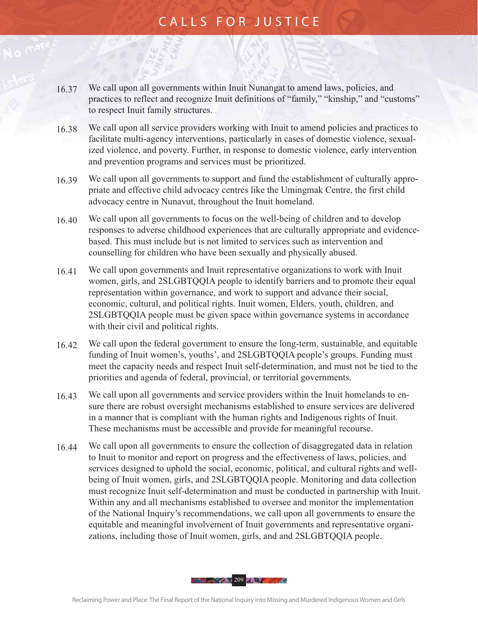- 16.37 We call upon all governments within Inuit Nunangat to amend laws, policies, and practices to reflect and recognize Inuit definitions of "family," "kinship," and "customs" to respect Inuit family structures.
- 16.38 We call upon all service providers working with Inuit to amend policies and practices to facilitate multi-agency interventions, particularly in cases of domestic violence, sexualized violence, and poverty. Further, in response to domestic violence, early intervention and prevention programs and services must be prioritized.
- 16.39 We call upon all governments to support and fund the establishment of culturally appropriate and effective child advocacy centres like the Umingmak Centre, the first child advocacy centre in Nunavut, throughout the Inuit homeland.
- 16.40 We call upon all governments to focus on the well-being of children and to develop responses to adverse childhood experiences that are culturally appropriate and evidencebased. This must include but is not limited to services such as intervention and counselling for children who have been sexually and physically abused.
- 16.41 We call upon governments and Inuit representative organizations to work with Inuit women, girls, and 2SLGBTQQIA people to identify barriers and to promote their equal representation within governance, and work to support and advance their social, economic, cultural, and political rights. Inuit women, Elders, youth, children, and 2SLGBTQQIA people must be given space within governance systems in accordance with their civil and political rights.
- 16.42 We call upon the federal government to ensure the long-term, sustainable, and equitable funding of Inuit women's, youths', and 2SLGBTQQIA people's groups. Funding must meet the capacity needs and respect Inuit self-determination, and must not be tied to the priorities and agenda of federal, provincial, or territorial governments.
- 16.43 We call upon all governments and service providers within the Inuit homelands to ensure there are robust oversight mechanisms established to ensure services are delivered in a manner that is compliant with the human rights and Indigenous rights of Inuit. These mechanisms must be accessible and provide for meaningful recourse.
- 16.44 We call upon all governments to ensure the collection of disaggregated data in relation to Inuit to monitor and report on progress and the effectiveness of laws, policies, and services designed to uphold the social, economic, political, and cultural rights and wellbeing of Inuit women, girls, and 2SLGBTQQIA people. Monitoring and data collection must recognize Inuit self-determination and must be conducted in partnership with Inuit. Within any and all mechanisms established to oversee and monitor the implementation of the National Inquiry's recommendations, we call upon all governments to ensure the equitable and meaningful involvement of Inuit governments and representative organizations, including those of Inuit women, girls, and and 2SLGBTQQIA people.

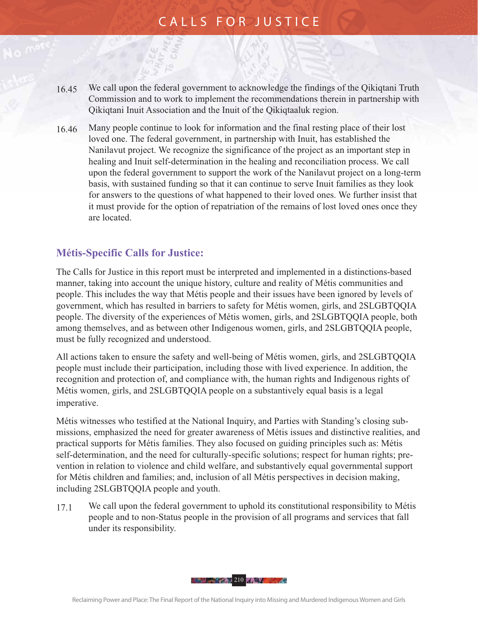- 16.45 We call upon the federal government to acknowledge the findings of the Qikiqtani Truth Commission and to work to implement the recommendations therein in partnership with Qikiqtani Inuit Association and the Inuit of the Qikiqtaaluk region.
- 16.46 Many people continue to look for information and the final resting place of their lost loved one. The federal government, in partnership with Inuit, has established the Nanilavut project. We recognize the significance of the project as an important step in healing and Inuit self-determination in the healing and reconciliation process. We call upon the federal government to support the work of the Nanilavut project on a long-term basis, with sustained funding so that it can continue to serve Inuit families as they look for answers to the questions of what happened to their loved ones. We further insist that it must provide for the option of repatriation of the remains of lost loved ones once they are located.

#### **Métis-Specific Calls for Justice:**

The Calls for Justice in this report must be interpreted and implemented in a distinctions-based manner, taking into account the unique history, culture and reality of Métis communities and people. This includes the way that Métis people and their issues have been ignored by levels of government, which has resulted in barriers to safety for Métis women, girls, and 2SLGBTQQIA people. The diversity of the experiences of Métis women, girls, and 2SLGBTQQIA people, both among themselves, and as between other Indigenous women, girls, and 2SLGBTQQIA people, must be fully recognized and understood.

All actions taken to ensure the safety and well-being of Métis women, girls, and 2SLGBTQQIA people must include their participation, including those with lived experience. In addition, the recognition and protection of, and compliance with, the human rights and Indigenous rights of Métis women, girls, and 2SLGBTQQIA people on a substantively equal basis is a legal imperative.

Métis witnesses who testified at the National Inquiry, and Parties with Standing's closing submissions, emphasized the need for greater awareness of Métis issues and distinctive realities, and practical supports for Métis families. They also focused on guiding principles such as: Métis self-determination, and the need for culturally-specific solutions; respect for human rights; prevention in relation to violence and child welfare, and substantively equal governmental support for Métis children and families; and, inclusion of all Métis perspectives in decision making, including 2SLGBTQQIA people and youth.

17.1 We call upon the federal government to uphold its constitutional responsibility to Métis people and to non-Status people in the provision of all programs and services that fall under its responsibility.

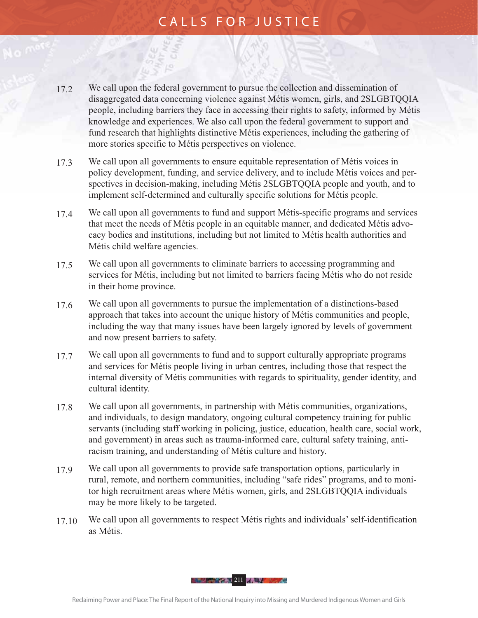- 17.2 We call upon the federal government to pursue the collection and dissemination of disaggregated data concerning violence against Métis women, girls, and 2SLGBTQQIA people, including barriers they face in accessing their rights to safety, informed by Métis knowledge and experiences. We also call upon the federal government to support and fund research that highlights distinctive Métis experiences, including the gathering of more stories specific to Métis perspectives on violence.
- 17.3 We call upon all governments to ensure equitable representation of Métis voices in policy development, funding, and service delivery, and to include Métis voices and perspectives in decision-making, including Métis 2SLGBTQQIA people and youth, and to implement self-determined and culturally specific solutions for Métis people.
- 17.4 We call upon all governments to fund and support Métis-specific programs and services that meet the needs of Métis people in an equitable manner, and dedicated Métis advocacy bodies and institutions, including but not limited to Métis health authorities and Métis child welfare agencies.
- 17.5 We call upon all governments to eliminate barriers to accessing programming and services for Métis, including but not limited to barriers facing Métis who do not reside in their home province.
- 17.6 We call upon all governments to pursue the implementation of a distinctions-based approach that takes into account the unique history of Métis communities and people, including the way that many issues have been largely ignored by levels of government and now present barriers to safety.
- 17.7 We call upon all governments to fund and to support culturally appropriate programs and services for Métis people living in urban centres, including those that respect the internal diversity of Métis communities with regards to spirituality, gender identity, and cultural identity.
- 17.8 We call upon all governments, in partnership with Métis communities, organizations, and individuals, to design mandatory, ongoing cultural competency training for public servants (including staff working in policing, justice, education, health care, social work, and government) in areas such as trauma-informed care, cultural safety training, antiracism training, and understanding of Métis culture and history.
- 17.9 We call upon all governments to provide safe transportation options, particularly in rural, remote, and northern communities, including "safe rides" programs, and to monitor high recruitment areas where Métis women, girls, and 2SLGBTQQIA individuals may be more likely to be targeted.
- 17.10 We call upon all governments to respect Métis rights and individuals' self-identification as Métis.

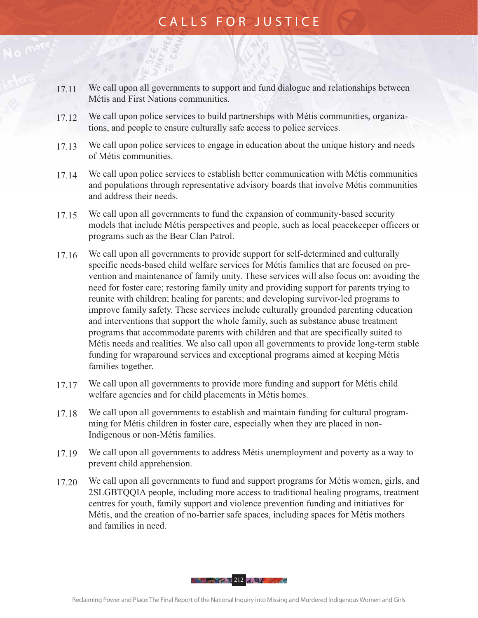- 17.11 We call upon all governments to support and fund dialogue and relationships between Métis and First Nations communities.
- 17.12 We call upon police services to build partnerships with Métis communities, organizations, and people to ensure culturally safe access to police services.
- 17.13 We call upon police services to engage in education about the unique history and needs of Métis communities.
- 17.14 We call upon police services to establish better communication with Métis communities and populations through representative advisory boards that involve Métis communities and address their needs.
- 17.15 We call upon all governments to fund the expansion of community-based security models that include Métis perspectives and people, such as local peacekeeper officers or programs such as the Bear Clan Patrol.
- 17.16 We call upon all governments to provide support for self-determined and culturally specific needs-based child welfare services for Métis families that are focused on prevention and maintenance of family unity. These services will also focus on: avoiding the need for foster care; restoring family unity and providing support for parents trying to reunite with children; healing for parents; and developing survivor-led programs to improve family safety. These services include culturally grounded parenting education and interventions that support the whole family, such as substance abuse treatment programs that accommodate parents with children and that are specifically suited to Métis needs and realities. We also call upon all governments to provide long-term stable funding for wraparound services and exceptional programs aimed at keeping Métis families together.
- 17.17 We call upon all governments to provide more funding and support for Métis child welfare agencies and for child placements in Métis homes.
- 17.18 We call upon all governments to establish and maintain funding for cultural programming for Métis children in foster care, especially when they are placed in non-Indigenous or non-Métis families.
- 17.19 We call upon all governments to address Métis unemployment and poverty as a way to prevent child apprehension.
- 17.20 We call upon all governments to fund and support programs for Métis women, girls, and 2SLGBTQQIA people, including more access to traditional healing programs, treatment centres for youth, family support and violence prevention funding and initiatives for Métis, and the creation of no-barrier safe spaces, including spaces for Métis mothers and families in need.

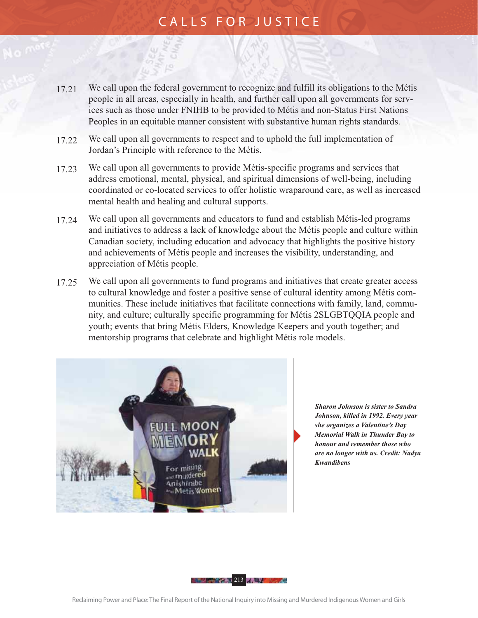- 17.21 We call upon the federal government to recognize and fulfill its obligations to the Métis people in all areas, especially in health, and further call upon all governments for services such as those under FNIHB to be provided to Métis and non-Status First Nations Peoples in an equitable manner consistent with substantive human rights standards.
- 17.22 We call upon all governments to respect and to uphold the full implementation of Jordan's Principle with reference to the Métis.
- 17.23 We call upon all governments to provide Métis-specific programs and services that address emotional, mental, physical, and spiritual dimensions of well-being, including coordinated or co-located services to offer holistic wraparound care, as well as increased mental health and healing and cultural supports.
- 17.24 We call upon all governments and educators to fund and establish Métis-led programs and initiatives to address a lack of knowledge about the Métis people and culture within Canadian society, including education and advocacy that highlights the positive history and achievements of Métis people and increases the visibility, understanding, and appreciation of Métis people.
- 17.25 We call upon all governments to fund programs and initiatives that create greater access to cultural knowledge and foster a positive sense of cultural identity among Métis communities. These include initiatives that facilitate connections with family, land, community, and culture; culturally specific programming for Métis 2SLGBTQQIA people and youth; events that bring Métis Elders, Knowledge Keepers and youth together; and mentorship programs that celebrate and highlight Métis role models.



 *Sharon Johnson is sister to Sandra Johnson, killed in 1992. Every year she organizes a Valentine's Day Memorial Walk in Thunder Bay to honour and remember those who are no longer with us. Credit: Nadya Kwandibens*

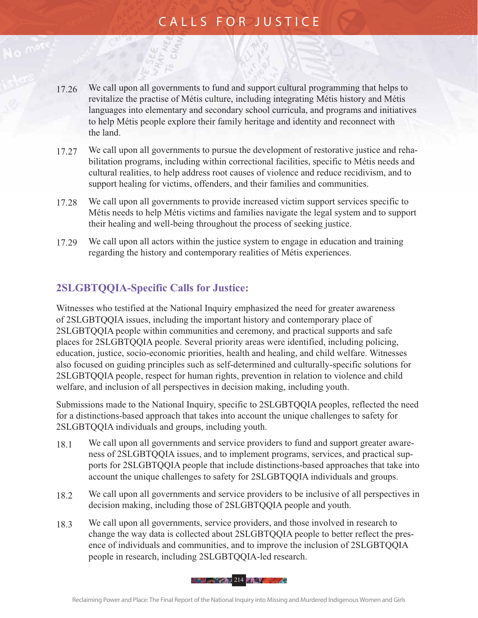- 17.26 We call upon all governments to fund and support cultural programming that helps to revitalize the practise of Métis culture, including integrating Métis history and Métis languages into elementary and secondary school curricula, and programs and initiatives to help Métis people explore their family heritage and identity and reconnect with the land.
- 17.27 We call upon all governments to pursue the development of restorative justice and rehabilitation programs, including within correctional facilities, specific to Métis needs and cultural realities, to help address root causes of violence and reduce recidivism, and to support healing for victims, offenders, and their families and communities.
- 17.28 We call upon all governments to provide increased victim support services specific to Métis needs to help Métis victims and families navigate the legal system and to support their healing and well-being throughout the process of seeking justice.
- 17.29 We call upon all actors within the justice system to engage in education and training regarding the history and contemporary realities of Métis experiences.

#### **2SLGBTQQIA-Specific Calls for Justice:**

Witnesses who testified at the National Inquiry emphasized the need for greater awareness of 2SLGBTQQIA issues, including the important history and contemporary place of 2SLGBTQQIA people within communities and ceremony, and practical supports and safe places for 2SLGBTQQIA people. Several priority areas were identified, including policing, education, justice, socio-economic priorities, health and healing, and child welfare. Witnesses also focused on guiding principles such as self-determined and culturally-specific solutions for 2SLGBTQQIA people, respect for human rights, prevention in relation to violence and child welfare, and inclusion of all perspectives in decision making, including youth.

Submissions made to the National Inquiry, specific to 2SLGBTQQIA peoples, reflected the need for a distinctions-based approach that takes into account the unique challenges to safety for 2SLGBTQQIA individuals and groups, including youth.

- 18.1 We call upon all governments and service providers to fund and support greater awareness of 2SLGBTQQIA issues, and to implement programs, services, and practical supports for 2SLGBTQQIA people that include distinctions-based approaches that take into account the unique challenges to safety for 2SLGBTQQIA individuals and groups.
- 18.2 We call upon all governments and service providers to be inclusive of all perspectives in decision making, including those of 2SLGBTQQIA people and youth.
- 18.3 We call upon all governments, service providers, and those involved in research to change the way data is collected about 2SLGBTQQIA people to better reflect the presence of individuals and communities, and to improve the inclusion of 2SLGBTQQIA people in research, including 2SLGBTQQIA-led research.

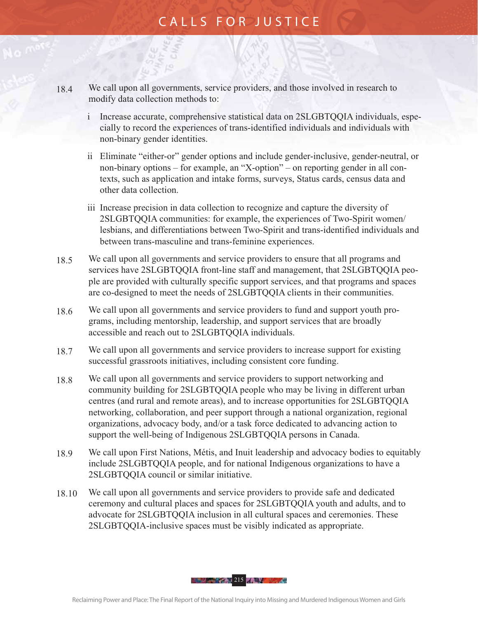- 18.4 We call upon all governments, service providers, and those involved in research to modify data collection methods to:
	- i Increase accurate, comprehensive statistical data on 2SLGBTQQIA individuals, especially to record the experiences of trans-identified individuals and individuals with non-binary gender identities.
	- ii Eliminate "either-or" gender options and include gender-inclusive, gender-neutral, or non-binary options – for example, an "X-option" – on reporting gender in all contexts, such as application and intake forms, surveys, Status cards, census data and other data collection.
	- iii Increase precision in data collection to recognize and capture the diversity of 2SLGBTQQIA communities: for example, the experiences of Two-Spirit women/ lesbians, and differentiations between Two-Spirit and trans-identified individuals and between trans-masculine and trans-feminine experiences.
- 18.5 We call upon all governments and service providers to ensure that all programs and services have 2SLGBTQQIA front-line staff and management, that 2SLGBTQQIA people are provided with culturally specific support services, and that programs and spaces are co-designed to meet the needs of 2SLGBTQQIA clients in their communities.
- 18.6 We call upon all governments and service providers to fund and support youth programs, including mentorship, leadership, and support services that are broadly accessible and reach out to 2SLGBTQQIA individuals.
- 18.7 We call upon all governments and service providers to increase support for existing successful grassroots initiatives, including consistent core funding.
- 18.8 We call upon all governments and service providers to support networking and community building for 2SLGBTQQIA people who may be living in different urban centres (and rural and remote areas), and to increase opportunities for 2SLGBTQQIA networking, collaboration, and peer support through a national organization, regional organizations, advocacy body, and/or a task force dedicated to advancing action to support the well-being of Indigenous 2SLGBTQQIA persons in Canada.
- 18.9 We call upon First Nations, Métis, and Inuit leadership and advocacy bodies to equitably include 2SLGBTQQIA people, and for national Indigenous organizations to have a 2SLGBTQQIA council or similar initiative.
- 18.10 We call upon all governments and service providers to provide safe and dedicated ceremony and cultural places and spaces for 2SLGBTQQIA youth and adults, and to advocate for 2SLGBTQQIA inclusion in all cultural spaces and ceremonies. These 2SLGBTQQIA-inclusive spaces must be visibly indicated as appropriate.

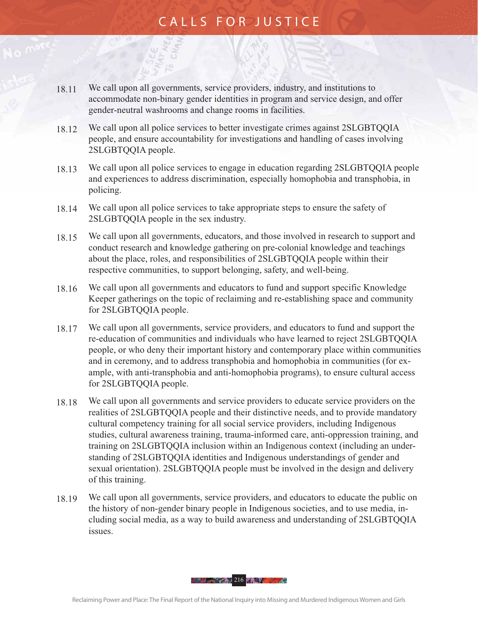- 18.11 We call upon all governments, service providers, industry, and institutions to accommodate non-binary gender identities in program and service design, and offer gender-neutral washrooms and change rooms in facilities.
- 18.12 We call upon all police services to better investigate crimes against 2SLGBTQQIA people, and ensure accountability for investigations and handling of cases involving 2SLGBTQQIA people.
- 18.13 We call upon all police services to engage in education regarding 2SLGBTQQIA people and experiences to address discrimination, especially homophobia and transphobia, in policing.
- 18.14 We call upon all police services to take appropriate steps to ensure the safety of 2SLGBTQQIA people in the sex industry.
- 18.15 We call upon all governments, educators, and those involved in research to support and conduct research and knowledge gathering on pre-colonial knowledge and teachings about the place, roles, and responsibilities of 2SLGBTQQIA people within their respective communities, to support belonging, safety, and well-being.
- 18.16 We call upon all governments and educators to fund and support specific Knowledge Keeper gatherings on the topic of reclaiming and re-establishing space and community for 2SLGBTQQIA people.
- 18.17 We call upon all governments, service providers, and educators to fund and support the re-education of communities and individuals who have learned to reject 2SLGBTQQIA people, or who deny their important history and contemporary place within communities and in ceremony, and to address transphobia and homophobia in communities (for example, with anti-transphobia and anti-homophobia programs), to ensure cultural access for 2SLGBTQQIA people.
- 18.18 We call upon all governments and service providers to educate service providers on the realities of 2SLGBTQQIA people and their distinctive needs, and to provide mandatory cultural competency training for all social service providers, including Indigenous studies, cultural awareness training, trauma-informed care, anti-oppression training, and training on 2SLGBTQQIA inclusion within an Indigenous context (including an understanding of 2SLGBTQQIA identities and Indigenous understandings of gender and sexual orientation). 2SLGBTQQIA people must be involved in the design and delivery of this training.
- 18.19 We call upon all governments, service providers, and educators to educate the public on the history of non-gender binary people in Indigenous societies, and to use media, including social media, as a way to build awareness and understanding of 2SLGBTQQIA issues.

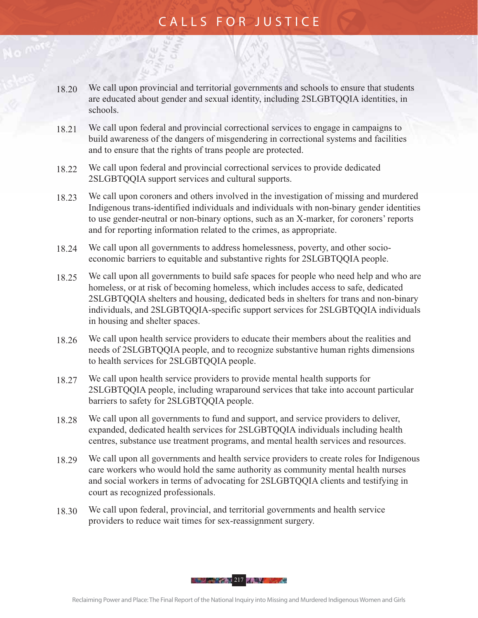- 18.20 We call upon provincial and territorial governments and schools to ensure that students are educated about gender and sexual identity, including 2SLGBTQQIA identities, in schools.
- 18.21 We call upon federal and provincial correctional services to engage in campaigns to build awareness of the dangers of misgendering in correctional systems and facilities and to ensure that the rights of trans people are protected.
- 18.22 We call upon federal and provincial correctional services to provide dedicated 2SLGBTQQIA support services and cultural supports.
- 18.23 We call upon coroners and others involved in the investigation of missing and murdered Indigenous trans-identified individuals and individuals with non-binary gender identities to use gender-neutral or non-binary options, such as an X-marker, for coroners' reports and for reporting information related to the crimes, as appropriate.
- 18.24 We call upon all governments to address homelessness, poverty, and other socioeconomic barriers to equitable and substantive rights for 2SLGBTQQIA people.
- 18.25 We call upon all governments to build safe spaces for people who need help and who are homeless, or at risk of becoming homeless, which includes access to safe, dedicated 2SLGBTQQIA shelters and housing, dedicated beds in shelters for trans and non-binary individuals, and 2SLGBTQQIA-specific support services for 2SLGBTQQIA individuals in housing and shelter spaces.
- 18.26 We call upon health service providers to educate their members about the realities and needs of 2SLGBTQQIA people, and to recognize substantive human rights dimensions to health services for 2SLGBTQQIA people.
- 18.27 We call upon health service providers to provide mental health supports for 2SLGBTQQIA people, including wraparound services that take into account particular barriers to safety for 2SLGBTQQIA people.
- 18.28 We call upon all governments to fund and support, and service providers to deliver, expanded, dedicated health services for 2SLGBTQQIA individuals including health centres, substance use treatment programs, and mental health services and resources.
- 18.29 We call upon all governments and health service providers to create roles for Indigenous care workers who would hold the same authority as community mental health nurses and social workers in terms of advocating for 2SLGBTQQIA clients and testifying in court as recognized professionals.
- 18.30 We call upon federal, provincial, and territorial governments and health service providers to reduce wait times for sex-reassignment surgery.